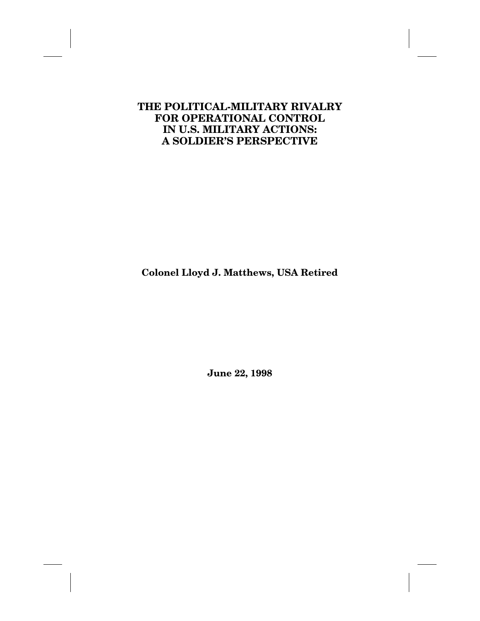# **THE POLITICAL-MILITARY RIVALRY FOR OPERATIONAL CONTROL IN U.S. MILITARY ACTIONS: A SOLDIER'S PERSPECTIVE**

**Colonel Lloyd J. Matthews, USA Retired**

**June 22, 1998**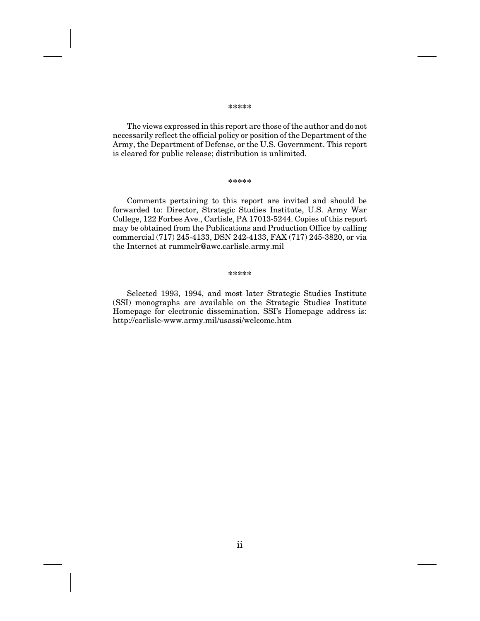#### **\*\*\*\*\***

The views expressed in this report are those of the author and do not necessarily reflect the official policy or position of the Department of the Army, the Department of Defense, or the U.S. Government. This report is cleared for public release; distribution is unlimited.

#### **\*\*\*\*\***

Comments pertaining to this report are invited and should be forwarded to: Director, Strategic Studies Institute, U.S. Army War College, 122 Forbes Ave., Carlisle, PA 17013-5244. Copies of this report may be obtained from the Publications and Production Office by calling commercial (717) 245-4133, DSN 242-4133, FAX (717) 245-3820, or via the Internet at rummelr@awc.carlisle.army.mil

#### **\*\*\*\*\***

Selected 1993, 1994, and most later Strategic Studies Institute (SSI) monographs are available on the Strategic Studies Institute Homepage for electronic dissemination. SSI's Homepage address is: http://carlisle-www.army.mil/usassi/welcome.htm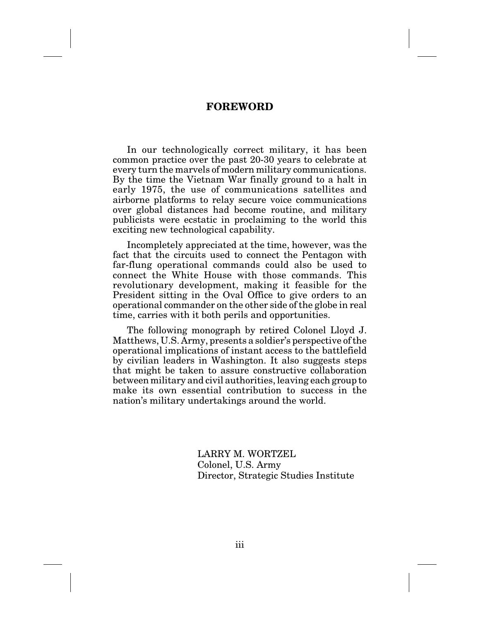## **FOREWORD**

In our technologically correct military, it has been common practice over the past 20-30 years to celebrate at every turn the marvels of modern military communications. By the time the Vietnam War finally ground to a halt in early 1975, the use of communications satellites and airborne platforms to relay secure voice communications over global distances had become routine, and military publicists were ecstatic in proclaiming to the world this exciting new technological capability.

Incompletely appreciated at the time, however, was the fact that the circuits used to connect the Pentagon with far-flung operational commands could also be used to connect the White House with those commands. This revolutionary development, making it feasible for the President sitting in the Oval Office to give orders to an operational commander on the other side of the globe in real time, carries with it both perils and opportunities.

The following monograph by retired Colonel Lloyd J. Matthews, U.S. Army, presents a soldier's perspective of the operational implications of instant access to the battlefield by civilian leaders in Washington. It also suggests steps that might be taken to assure constructive collaboration between military and civil authorities, leaving each group to make its own essential contribution to success in the nation's military undertakings around the world.

> LARRY M. WORTZEL Colonel, U.S. Army Director, Strategic Studies Institute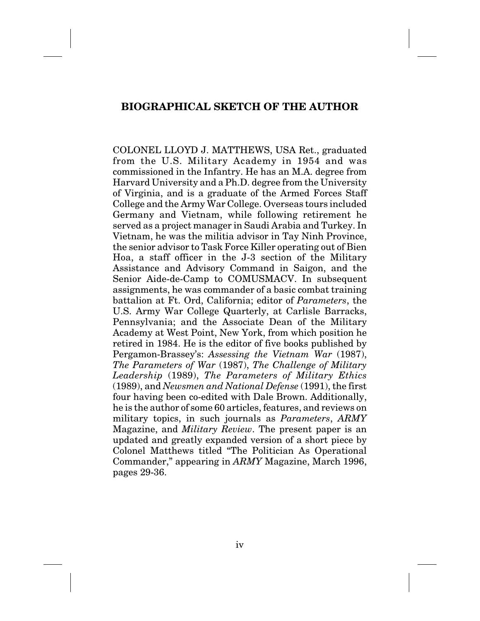# **BIOGRAPHICAL SKETCH OF THE AUTHOR**

COLONEL LLOYD J. MATTHEWS, USA Ret., graduated from the U.S. Military Academy in 1954 and was commissioned in the Infantry. He has an M.A. degree from Harvard University and a Ph.D. degree from the University of Virginia, and is a graduate of the Armed Forces Staff College and the Army War College. Overseas tours included Germany and Vietnam, while following retirement he served as a project manager in Saudi Arabia and Turkey. In Vietnam, he was the militia advisor in Tay Ninh Province, the senior advisor to Task Force Killer operating out of Bien Hoa, a staff officer in the J-3 section of the Military Assistance and Advisory Command in Saigon, and the Senior Aide-de-Camp to COMUSMACV. In subsequent assignments, he was commander of a basic combat training battalion at Ft. Ord, California; editor of *Parameters*, the U.S. Army War College Quarterly, at Carlisle Barracks, Pennsylvania; and the Associate Dean of the Military Academy at West Point, New York, from which position he retired in 1984. He is the editor of five books published by Pergamon-Brassey's: *Assessing the Vietnam War* (1987), *The Parameters of War* (1987), *The Challenge of Military Leadership* (1989), *The Parameters of Military Ethics* (1989), and *Newsmen and National Defense* (1991), the first four having been co-edited with Dale Brown. Additionally, he is the author of some 60 articles, features, and reviews on military topics, in such journals as *Parameters*, *ARMY* Magazine, and *Military Review*. The present paper is an updated and greatly expanded version of a short piece by Colonel Matthews titled "The Politician As Operational Commander," appearing in *ARMY* Magazine, March 1996, pages 29-36.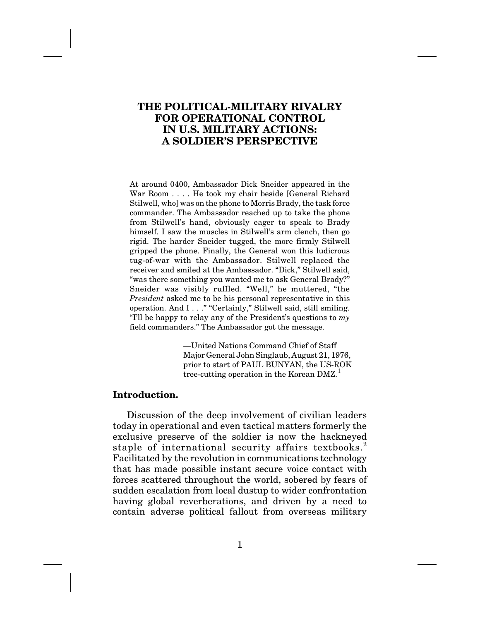# **THE POLITICAL-MILITARY RIVALRY FOR OPERATIONAL CONTROL IN U.S. MILITARY ACTIONS: A SOLDIER'S PERSPECTIVE**

At around 0400, Ambassador Dick Sneider appeared in the War Room . . . . He took my chair beside [General Richard Stilwell, who] was on the phone to Morris Brady, the task force commander. The Ambassador reached up to take the phone from Stilwell's hand, obviously eager to speak to Brady himself. I saw the muscles in Stilwell's arm clench, then go rigid. The harder Sneider tugged, the more firmly Stilwell gripped the phone. Finally, the General won this ludicrous tug-of-war with the Ambassador. Stilwell replaced the receiver and smiled at the Ambassador. "Dick," Stilwell said, "was there something you wanted me to ask General Brady?" Sneider was visibly ruffled. "Well," he muttered, "the *President* asked me to be his personal representative in this operation. And I . . ." "Certainly," Stilwell said, still smiling. "I'll be happy to relay any of the President's questions to *my* field commanders." The Ambassador got the message.

> —United Nations Command Chief of Staff Major General John Singlaub, August 21, 1976, prior to start of PAUL BUNYAN, the US-ROK tree-cutting operation in the Korean  $D M Z$ <sup>1</sup>

## **Introduction.**

Discussion of the deep involvement of civilian leaders today in operational and even tactical matters formerly the exclusive preserve of the soldier is now the hackneyed staple of international security affairs textbooks.<sup>2</sup> Facilitated by the revolution in communications technology that has made possible instant secure voice contact with forces scattered throughout the world, sobered by fears of sudden escalation from local dustup to wider confrontation having global reverberations, and driven by a need to contain adverse political fallout from overseas military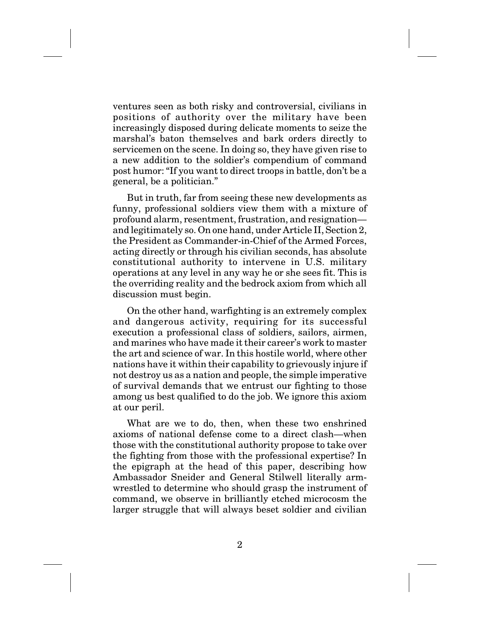ventures seen as both risky and controversial, civilians in positions of authority over the military have been increasingly disposed during delicate moments to seize the marshal's baton themselves and bark orders directly to servicemen on the scene. In doing so, they have given rise to a new addition to the soldier's compendium of command post humor: "If you want to direct troops in battle, don't be a general, be a politician."

But in truth, far from seeing these new developments as funny, professional soldiers view them with a mixture of profound alarm, resentment, frustration, and resignation and legitimately so. On one hand, under Article II, Section 2, the President as Commander-in-Chief of the Armed Forces, acting directly or through his civilian seconds, has absolute constitutional authority to intervene in U.S. military operations at any level in any way he or she sees fit. This is the overriding reality and the bedrock axiom from which all discussion must begin.

On the other hand, warfighting is an extremely complex and dangerous activity, requiring for its successful execution a professional class of soldiers, sailors, airmen, and marines who have made it their career's work to master the art and science of war. In this hostile world, where other nations have it within their capability to grievously injure if not destroy us as a nation and people, the simple imperative of survival demands that we entrust our fighting to those among us best qualified to do the job. We ignore this axiom at our peril.

What are we to do, then, when these two enshrined axioms of national defense come to a direct clash—when those with the constitutional authority propose to take over the fighting from those with the professional expertise? In the epigraph at the head of this paper, describing how Ambassador Sneider and General Stilwell literally armwrestled to determine who should grasp the instrument of command, we observe in brilliantly etched microcosm the larger struggle that will always beset soldier and civilian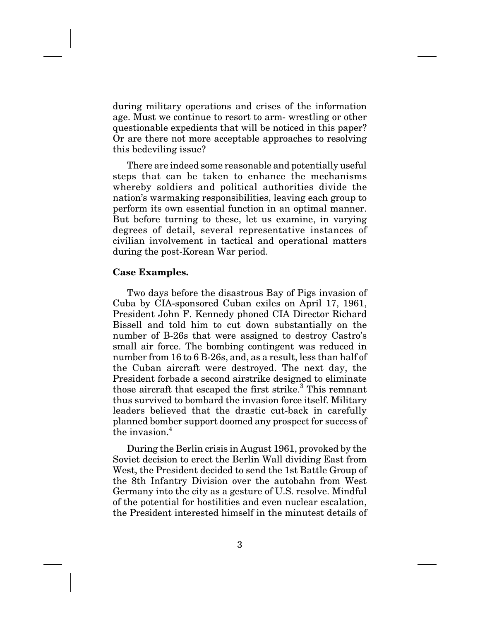during military operations and crises of the information age. Must we continue to resort to arm- wrestling or other questionable expedients that will be noticed in this paper? Or are there not more acceptable approaches to resolving this bedeviling issue?

There are indeed some reasonable and potentially useful steps that can be taken to enhance the mechanisms whereby soldiers and political authorities divide the nation's warmaking responsibilities, leaving each group to perform its own essential function in an optimal manner. But before turning to these, let us examine, in varying degrees of detail, several representative instances of civilian involvement in tactical and operational matters during the post-Korean War period.

### **Case Examples.**

Two days before the disastrous Bay of Pigs invasion of Cuba by CIA-sponsored Cuban exiles on April 17, 1961, President John F. Kennedy phoned CIA Director Richard Bissell and told him to cut down substantially on the number of B-26s that were assigned to destroy Castro's small air force. The bombing contingent was reduced in number from 16 to 6 B-26s, and, as a result, less than half of the Cuban aircraft were destroyed. The next day, the President forbade a second airstrike designed to eliminate those aircraft that escaped the first strike.<sup>3</sup> This remnant thus survived to bombard the invasion force itself. Military leaders believed that the drastic cut-back in carefully planned bomber support doomed any prospect for success of the invasion  $4$ 

During the Berlin crisis in August 1961, provoked by the Soviet decision to erect the Berlin Wall dividing East from West, the President decided to send the 1st Battle Group of the 8th Infantry Division over the autobahn from West Germany into the city as a gesture of U.S. resolve. Mindful of the potential for hostilities and even nuclear escalation, the President interested himself in the minutest details of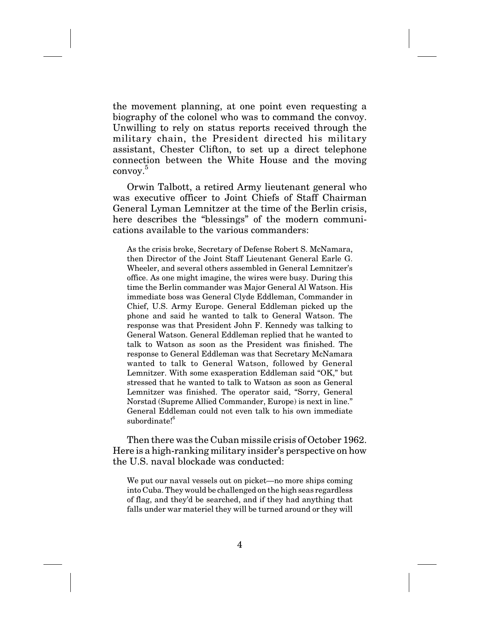the movement planning, at one point even requesting a biography of the colonel who was to command the convoy. Unwilling to rely on status reports received through the military chain, the President directed his military assistant, Chester Clifton, to set up a direct telephone connection between the White House and the moving convoy.5

Orwin Talbott, a retired Army lieutenant general who was executive officer to Joint Chiefs of Staff Chairman General Lyman Lemnitzer at the time of the Berlin crisis, here describes the "blessings" of the modern communications available to the various commanders:

As the crisis broke, Secretary of Defense Robert S. McNamara, then Director of the Joint Staff Lieutenant General Earle G. Wheeler, and several others assembled in General Lemnitzer's office. As one might imagine, the wires were busy. During this time the Berlin commander was Major General Al Watson. His immediate boss was General Clyde Eddleman, Commander in Chief, U.S. Army Europe. General Eddleman picked up the phone and said he wanted to talk to General Watson. The response was that President John F. Kennedy was talking to General Watson. General Eddleman replied that he wanted to talk to Watson as soon as the President was finished. The response to General Eddleman was that Secretary McNamara wanted to talk to General Watson, followed by General Lemnitzer. With some exasperation Eddleman said "OK," but stressed that he wanted to talk to Watson as soon as General Lemnitzer was finished. The operator said, "Sorry, General Norstad (Supreme Allied Commander, Europe) is next in line." General Eddleman could not even talk to his own immediate subordinate!<sup>6</sup>

Then there was the Cuban missile crisis of October 1962. Here is a high-ranking military insider's perspective on how the U.S. naval blockade was conducted:

We put our naval vessels out on picket—no more ships coming into Cuba. They would be challenged on the high seas regardless of flag, and they'd be searched, and if they had anything that falls under war materiel they will be turned around or they will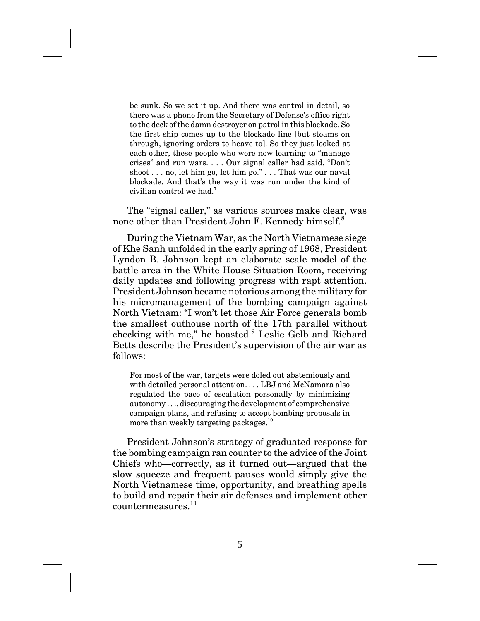be sunk. So we set it up. And there was control in detail, so there was a phone from the Secretary of Defense's office right to the deck of the damn destroyer on patrol in this blockade. So the first ship comes up to the blockade line [but steams on through, ignoring orders to heave to]. So they just looked at each other, these people who were now learning to "manage crises" and run wars. . . . Our signal caller had said, "Don't shoot . . . no, let him go, let him go." . . . That was our naval blockade. And that's the way it was run under the kind of civilian control we had.<sup>7</sup>

The "signal caller," as various sources make clear, was none other than President John F. Kennedy himself.8

During the Vietnam War, as the North Vietnamese siege of Khe Sanh unfolded in the early spring of 1968, President Lyndon B. Johnson kept an elaborate scale model of the battle area in the White House Situation Room, receiving daily updates and following progress with rapt attention. President Johnson became notorious among the military for his micromanagement of the bombing campaign against North Vietnam: "I won't let those Air Force generals bomb the smallest outhouse north of the 17th parallel without checking with me," he boasted.<sup>9</sup> Leslie Gelb and Richard Betts describe the President's supervision of the air war as follows:

For most of the war, targets were doled out abstemiously and with detailed personal attention. . . . LBJ and McNamara also regulated the pace of escalation personally by minimizing autonomy . . ., discouraging the development of comprehensive campaign plans, and refusing to accept bombing proposals in more than weekly targeting packages.<sup>10</sup>

President Johnson's strategy of graduated response for the bombing campaign ran counter to the advice of the Joint Chiefs who—correctly, as it turned out—argued that the slow squeeze and frequent pauses would simply give the North Vietnamese time, opportunity, and breathing spells to build and repair their air defenses and implement other countermeasures.11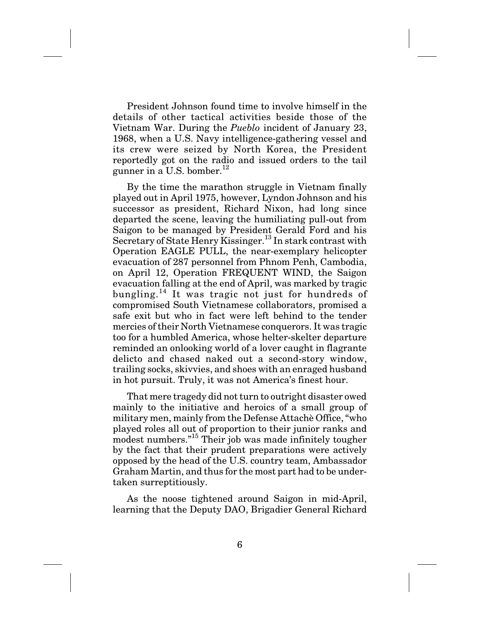President Johnson found time to involve himself in the details of other tactical activities beside those of the Vietnam War. During the *Pueblo* incident of January 23, 1968, when a U.S. Navy intelligence-gathering vessel and its crew were seized by North Korea, the President reportedly got on the radio and issued orders to the tail gunner in a U.S. bomber.<sup>12</sup>

By the time the marathon struggle in Vietnam finally played out in April 1975, however, Lyndon Johnson and his successor as president, Richard Nixon, had long since departed the scene, leaving the humiliating pull-out from Saigon to be managed by President Gerald Ford and his Secretary of State Henry Kissinger.<sup>13</sup> In stark contrast with Operation EAGLE PULL, the near-exemplary helicopter evacuation of 287 personnel from Phnom Penh, Cambodia, on April 12, Operation FREQUENT WIND, the Saigon evacuation falling at the end of April, was marked by tragic bungling.<sup>14</sup> It was tragic not just for hundreds of compromised South Vietnamese collaborators, promised a safe exit but who in fact were left behind to the tender mercies of their North Vietnamese conquerors. It was tragic too for a humbled America, whose helter-skelter departure reminded an onlooking world of a lover caught in flagrante delicto and chased naked out a second-story window, trailing socks, skivvies, and shoes with an enraged husband in hot pursuit. Truly, it was not America's finest hour.

That mere tragedy did not turn to outright disaster owed mainly to the initiative and heroics of a small group of military men, mainly from the Defense Attachè Office, "who played roles all out of proportion to their junior ranks and modest numbers."<sup>15</sup> Their job was made infinitely tougher by the fact that their prudent preparations were actively opposed by the head of the U.S. country team, Ambassador Graham Martin, and thus for the most part had to be undertaken surreptitiously.

As the noose tightened around Saigon in mid-April, learning that the Deputy DAO, Brigadier General Richard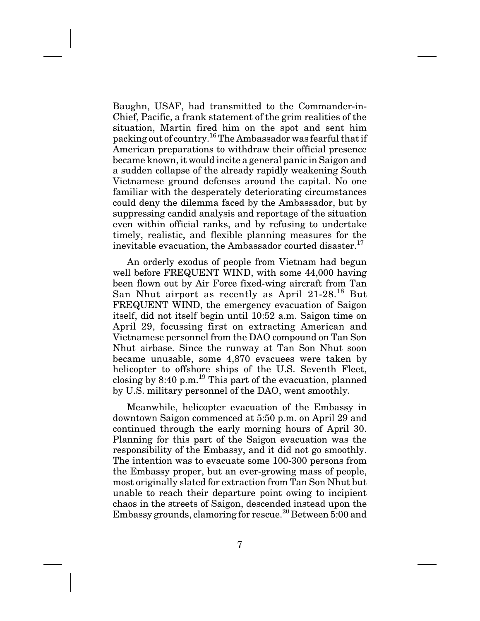Baughn, USAF, had transmitted to the Commander-in-Chief, Pacific, a frank statement of the grim realities of the situation, Martin fired him on the spot and sent him packing out of country.<sup>16</sup>The Ambassador was fearful that if American preparations to withdraw their official presence became known, it would incite a general panic in Saigon and a sudden collapse of the already rapidly weakening South Vietnamese ground defenses around the capital. No one familiar with the desperately deteriorating circumstances could deny the dilemma faced by the Ambassador, but by suppressing candid analysis and reportage of the situation even within official ranks, and by refusing to undertake timely, realistic, and flexible planning measures for the inevitable evacuation, the Ambassador courted disaster.<sup>17</sup>

An orderly exodus of people from Vietnam had begun well before FREQUENT WIND, with some 44,000 having been flown out by Air Force fixed-wing aircraft from Tan San Nhut airport as recently as April  $21-28$ <sup>18</sup> But FREQUENT WIND, the emergency evacuation of Saigon itself, did not itself begin until 10:52 a.m. Saigon time on April 29, focussing first on extracting American and Vietnamese personnel from the DAO compound on Tan Son Nhut airbase. Since the runway at Tan Son Nhut soon became unusable, some 4,870 evacuees were taken by helicopter to offshore ships of the U.S. Seventh Fleet, closing by  $8:40 \text{ p.m.}^{19}$  This part of the evacuation, planned by U.S. military personnel of the DAO, went smoothly.

Meanwhile, helicopter evacuation of the Embassy in downtown Saigon commenced at 5:50 p.m. on April 29 and continued through the early morning hours of April 30. Planning for this part of the Saigon evacuation was the responsibility of the Embassy, and it did not go smoothly. The intention was to evacuate some 100-300 persons from the Embassy proper, but an ever-growing mass of people, most originally slated for extraction from Tan Son Nhut but unable to reach their departure point owing to incipient chaos in the streets of Saigon, descended instead upon the Embassy grounds, clamoring for rescue.<sup>20</sup> Between  $\overline{5:}00$  and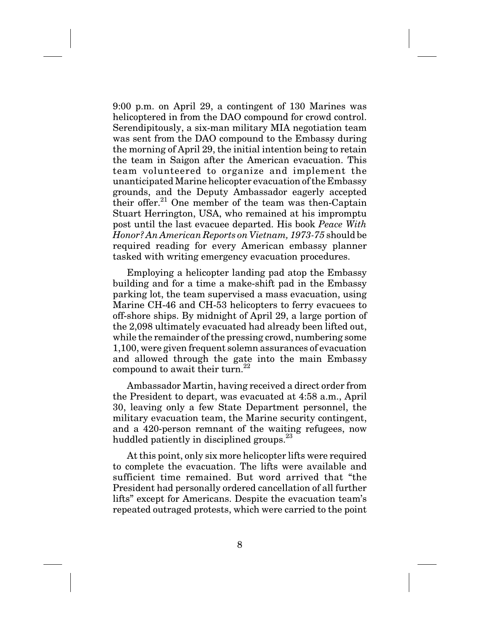9:00 p.m. on April 29, a contingent of 130 Marines was helicoptered in from the DAO compound for crowd control. Serendipitously, a six-man military MIA negotiation team was sent from the DAO compound to the Embassy during the morning of April 29, the initial intention being to retain the team in Saigon after the American evacuation. This team volunteered to organize and implement the unanticipated Marine helicopter evacuation of the Embassy grounds, and the Deputy Ambassador eagerly accepted their offer. $21$  One member of the team was then-Captain Stuart Herrington, USA, who remained at his impromptu post until the last evacuee departed. His book *Peace With Honor? An American Reports on Vietnam, 1973-75* should be required reading for every American embassy planner tasked with writing emergency evacuation procedures.

Employing a helicopter landing pad atop the Embassy building and for a time a make-shift pad in the Embassy parking lot, the team supervised a mass evacuation, using Marine CH-46 and CH-53 helicopters to ferry evacuees to off-shore ships. By midnight of April 29, a large portion of the 2,098 ultimately evacuated had already been lifted out, while the remainder of the pressing crowd, numbering some 1,100, were given frequent solemn assurances of evacuation and allowed through the gate into the main Embassy compound to await their turn.<sup>22</sup>

Ambassador Martin, having received a direct order from the President to depart, was evacuated at 4:58 a.m., April 30, leaving only a few State Department personnel, the military evacuation team, the Marine security contingent, and a 420-person remnant of the waiting refugees, now huddled patiently in disciplined groups.<sup>23</sup>

At this point, only six more helicopter lifts were required to complete the evacuation. The lifts were available and sufficient time remained. But word arrived that "the President had personally ordered cancellation of all further lifts" except for Americans. Despite the evacuation team's repeated outraged protests, which were carried to the point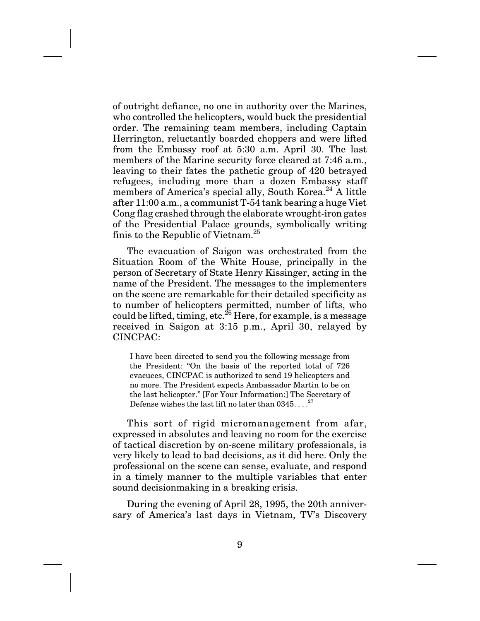of outright defiance, no one in authority over the Marines, who controlled the helicopters, would buck the presidential order. The remaining team members, including Captain Herrington, reluctantly boarded choppers and were lifted from the Embassy roof at 5:30 a.m. April 30. The last members of the Marine security force cleared at 7:46 a.m., leaving to their fates the pathetic group of 420 betrayed refugees, including more than a dozen Embassy staff members of America's special ally, South Korea.<sup>24</sup> A little after 11:00 a.m., a communist T-54 tank bearing a huge Viet Cong flag crashed through the elaborate wrought-iron gates of the Presidential Palace grounds, symbolically writing finis to the Republic of Vietnam.<sup>25</sup>

The evacuation of Saigon was orchestrated from the Situation Room of the White House, principally in the person of Secretary of State Henry Kissinger, acting in the name of the President. The messages to the implementers on the scene are remarkable for their detailed specificity as to number of helicopters permitted, number of lifts, who could be lifted, timing, etc.<sup>26</sup> Here, for example, is a message received in Saigon at 3:15 p.m., April 30, relayed by CINCPAC:

I have been directed to send you the following message from the President: "On the basis of the reported total of 726 evacuees, CINCPAC is authorized to send 19 helicopters and no more. The President expects Ambassador Martin to be on the last helicopter." [For Your Information:] The Secretary of Defense wishes the last lift no later than  $0.345...$ <sup>27</sup>

This sort of rigid micromanagement from afar, expressed in absolutes and leaving no room for the exercise of tactical discretion by on-scene military professionals, is very likely to lead to bad decisions, as it did here. Only the professional on the scene can sense, evaluate, and respond in a timely manner to the multiple variables that enter sound decisionmaking in a breaking crisis.

During the evening of April 28, 1995, the 20th anniversary of America's last days in Vietnam, TV's Discovery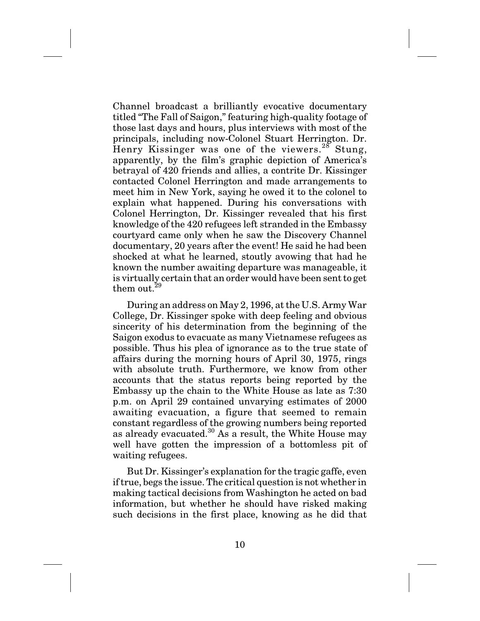Channel broadcast a brilliantly evocative documentary titled "The Fall of Saigon," featuring high-quality footage of those last days and hours, plus interviews with most of the principals, including now-Colonel Stuart Herrington. Dr. Henry Kissinger was one of the viewers.<sup>28</sup> Stung, apparently, by the film's graphic depiction of America's betrayal of 420 friends and allies, a contrite Dr. Kissinger contacted Colonel Herrington and made arrangements to meet him in New York, saying he owed it to the colonel to explain what happened. During his conversations with Colonel Herrington, Dr. Kissinger revealed that his first knowledge of the 420 refugees left stranded in the Embassy courtyard came only when he saw the Discovery Channel documentary, 20 years after the event! He said he had been shocked at what he learned, stoutly avowing that had he known the number awaiting departure was manageable, it is virtually certain that an order would have been sent to get them out. $29$ 

During an address on May 2, 1996, at the U.S. Army War College, Dr. Kissinger spoke with deep feeling and obvious sincerity of his determination from the beginning of the Saigon exodus to evacuate as many Vietnamese refugees as possible. Thus his plea of ignorance as to the true state of affairs during the morning hours of April 30, 1975, rings with absolute truth. Furthermore, we know from other accounts that the status reports being reported by the Embassy up the chain to the White House as late as 7:30 p.m. on April 29 contained unvarying estimates of 2000 awaiting evacuation, a figure that seemed to remain constant regardless of the growing numbers being reported as already evacuated.<sup>30</sup> As a result, the White House may well have gotten the impression of a bottomless pit of waiting refugees.

But Dr. Kissinger's explanation for the tragic gaffe, even if true, begs the issue. The critical question is not whether in making tactical decisions from Washington he acted on bad information, but whether he should have risked making such decisions in the first place, knowing as he did that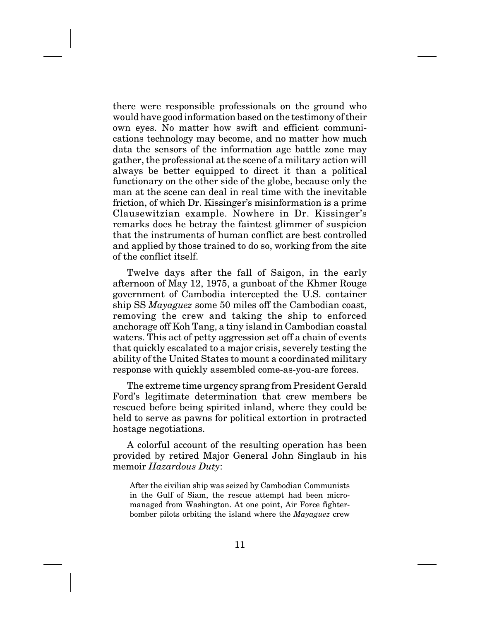there were responsible professionals on the ground who would have good information based on the testimony of their own eyes. No matter how swift and efficient communications technology may become, and no matter how much data the sensors of the information age battle zone may gather, the professional at the scene of a military action will always be better equipped to direct it than a political functionary on the other side of the globe, because only the man at the scene can deal in real time with the inevitable friction, of which Dr. Kissinger's misinformation is a prime Clausewitzian example. Nowhere in Dr. Kissinger's remarks does he betray the faintest glimmer of suspicion that the instruments of human conflict are best controlled and applied by those trained to do so, working from the site of the conflict itself.

Twelve days after the fall of Saigon, in the early afternoon of May 12, 1975, a gunboat of the Khmer Rouge government of Cambodia intercepted the U.S. container ship SS *Mayaguez* some 50 miles off the Cambodian coast, removing the crew and taking the ship to enforced anchorage off Koh Tang, a tiny island in Cambodian coastal waters. This act of petty aggression set off a chain of events that quickly escalated to a major crisis, severely testing the ability of the United States to mount a coordinated military response with quickly assembled come-as-you-are forces.

The extreme time urgency sprang from President Gerald Ford's legitimate determination that crew members be rescued before being spirited inland, where they could be held to serve as pawns for political extortion in protracted hostage negotiations.

A colorful account of the resulting operation has been provided by retired Major General John Singlaub in his memoir *Hazardous Duty*:

After the civilian ship was seized by Cambodian Communists in the Gulf of Siam, the rescue attempt had been micromanaged from Washington. At one point, Air Force fighterbomber pilots orbiting the island where the *Mayaguez* crew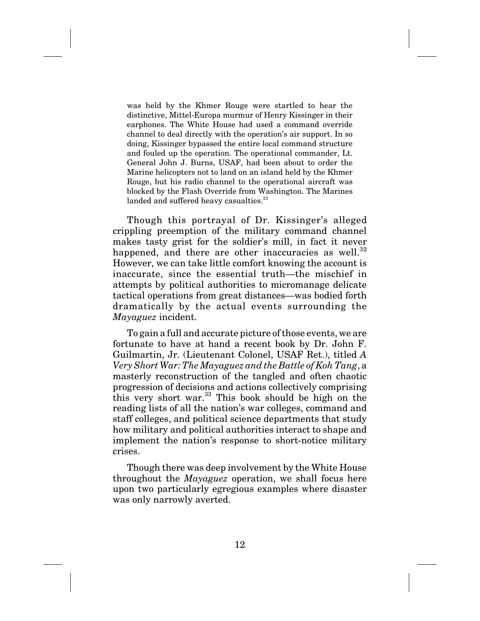was held by the Khmer Rouge were startled to hear the distinctive, Mittel-Europa murmur of Henry Kissinger in their earphones. The White House had used a command override channel to deal directly with the operation's air support. In so doing, Kissinger bypassed the entire local command structure and fouled up the operation. The operational commander, Lt. General John J. Burns, USAF, had been about to order the Marine helicopters not to land on an island held by the Khmer Rouge, but his radio channel to the operational aircraft was blocked by the Flash Override from Washington. The Marines landed and suffered heavy casualties.<sup>31</sup>

Though this portrayal of Dr. Kissinger's alleged crippling preemption of the military command channel makes tasty grist for the soldier's mill, in fact it never happened, and there are other inaccuracies as well.<sup>32</sup> However, we can take little comfort knowing the account is inaccurate, since the essential truth—the mischief in attempts by political authorities to micromanage delicate tactical operations from great distances—was bodied forth dramatically by the actual events surrounding the *Mayaguez* incident.

To gain a full and accurate picture of those events, we are fortunate to have at hand a recent book by Dr. John F. Guilmartin, Jr. (Lieutenant Colonel, USAF Ret.), titled *A Very Short War: The Mayaguez and the Battle of Koh Tang*, a masterly reconstruction of the tangled and often chaotic progression of decisions and actions collectively comprising this very short war.<sup>33</sup> This book should be high on the reading lists of all the nation's war colleges, command and staff colleges, and political science departments that study how military and political authorities interact to shape and implement the nation's response to short-notice military crises.

Though there was deep involvement by the White House throughout the *Mayaguez* operation, we shall focus here upon two particularly egregious examples where disaster was only narrowly averted.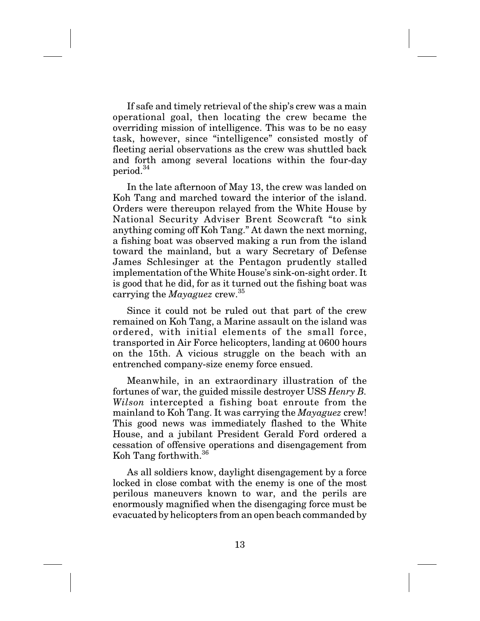If safe and timely retrieval of the ship's crew was a main operational goal, then locating the crew became the overriding mission of intelligence. This was to be no easy task, however, since "intelligence" consisted mostly of fleeting aerial observations as the crew was shuttled back and forth among several locations within the four-day period.34

In the late afternoon of May 13, the crew was landed on Koh Tang and marched toward the interior of the island. Orders were thereupon relayed from the White House by National Security Adviser Brent Scowcraft "to sink anything coming off Koh Tang." At dawn the next morning, a fishing boat was observed making a run from the island toward the mainland, but a wary Secretary of Defense James Schlesinger at the Pentagon prudently stalled implementation of the White House's sink-on-sight order. It is good that he did, for as it turned out the fishing boat was carrying the *Mayaguez* crew.<sup>35</sup>

Since it could not be ruled out that part of the crew remained on Koh Tang, a Marine assault on the island was ordered, with initial elements of the small force, transported in Air Force helicopters, landing at 0600 hours on the 15th. A vicious struggle on the beach with an entrenched company-size enemy force ensued.

Meanwhile, in an extraordinary illustration of the fortunes of war, the guided missile destroyer USS *Henry B. Wilson* intercepted a fishing boat enroute from the mainland to Koh Tang. It was carrying the *Mayaguez* crew! This good news was immediately flashed to the White House, and a jubilant President Gerald Ford ordered a cessation of offensive operations and disengagement from Koh Tang forthwith.<sup>36</sup>

As all soldiers know, daylight disengagement by a force locked in close combat with the enemy is one of the most perilous maneuvers known to war, and the perils are enormously magnified when the disengaging force must be evacuated by helicopters from an open beach commanded by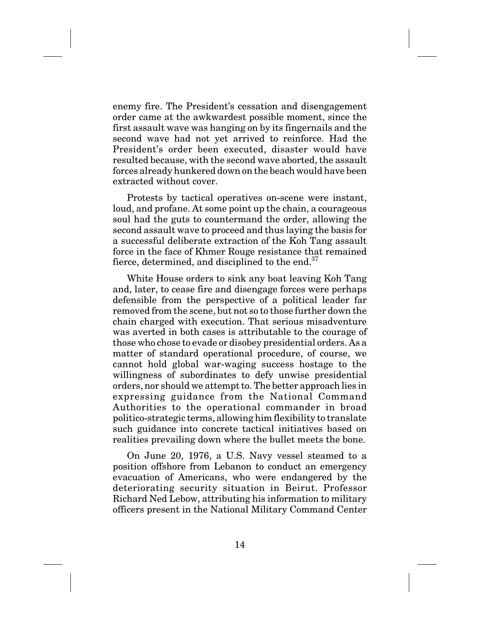enemy fire. The President's cessation and disengagement order came at the awkwardest possible moment, since the first assault wave was hanging on by its fingernails and the second wave had not yet arrived to reinforce. Had the President's order been executed, disaster would have resulted because, with the second wave aborted, the assault forces already hunkered down on the beach would have been extracted without cover.

Protests by tactical operatives on-scene were instant, loud, and profane. At some point up the chain, a courageous soul had the guts to countermand the order, allowing the second assault wave to proceed and thus laying the basis for a successful deliberate extraction of the Koh Tang assault force in the face of Khmer Rouge resistance that remained fierce, determined, and disciplined to the end.<sup>37</sup>

White House orders to sink any boat leaving Koh Tang and, later, to cease fire and disengage forces were perhaps defensible from the perspective of a political leader far removed from the scene, but not so to those further down the chain charged with execution. That serious misadventure was averted in both cases is attributable to the courage of those who chose to evade or disobey presidential orders. As a matter of standard operational procedure, of course, we cannot hold global war-waging success hostage to the willingness of subordinates to defy unwise presidential orders, nor should we attempt to. The better approach lies in expressing guidance from the National Command Authorities to the operational commander in broad politico-strategic terms, allowing him flexibility to translate such guidance into concrete tactical initiatives based on realities prevailing down where the bullet meets the bone.

On June 20, 1976, a U.S. Navy vessel steamed to a position offshore from Lebanon to conduct an emergency evacuation of Americans, who were endangered by the deteriorating security situation in Beirut. Professor Richard Ned Lebow, attributing his information to military officers present in the National Military Command Center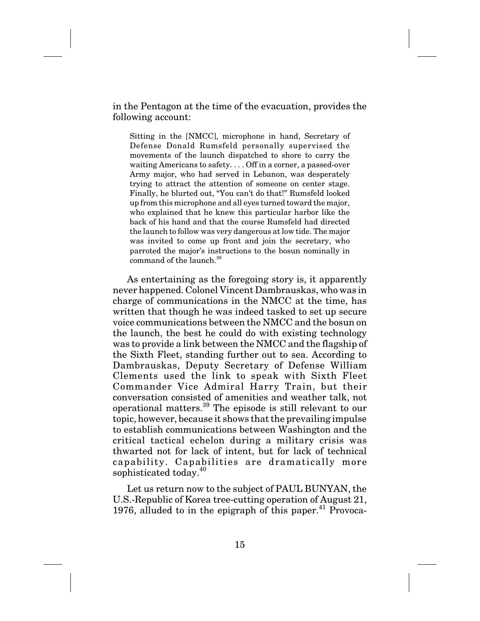in the Pentagon at the time of the evacuation, provides the following account:

Sitting in the [NMCC], microphone in hand, Secretary of Defense Donald Rumsfeld personally supervised the movements of the launch dispatched to shore to carry the waiting Americans to safety. . . . Off in a corner, a passed-over Army major, who had served in Lebanon, was desperately trying to attract the attention of someone on center stage. Finally, he blurted out, "You can't do that!" Rumsfeld looked up from this microphone and all eyes turned toward the major, who explained that he knew this particular harbor like the back of his hand and that the course Rumsfeld had directed the launch to follow was very dangerous at low tide. The major was invited to come up front and join the secretary, who parroted the major's instructions to the bosun nominally in command of the launch.<sup>38</sup>

As entertaining as the foregoing story is, it apparently never happened. Colonel Vincent Dambrauskas, who was in charge of communications in the NMCC at the time, has written that though he was indeed tasked to set up secure voice communications between the NMCC and the bosun on the launch, the best he could do with existing technology was to provide a link between the NMCC and the flagship of the Sixth Fleet, standing further out to sea. According to Dambrauskas, Deputy Secretary of Defense William Clements used the link to speak with Sixth Fleet Commander Vice Admiral Harry Train, but their conversation consisted of amenities and weather talk, not operational matters.39 The episode is still relevant to our topic, however, because it shows that the prevailing impulse to establish communications between Washington and the critical tactical echelon during a military crisis was thwarted not for lack of intent, but for lack of technical capability. Capabilities are dramatically more sophisticated today.<sup>40</sup>

Let us return now to the subject of PAUL BUNYAN, the U.S.-Republic of Korea tree-cutting operation of August 21, 1976, alluded to in the epigraph of this paper.<sup>41</sup> Provoca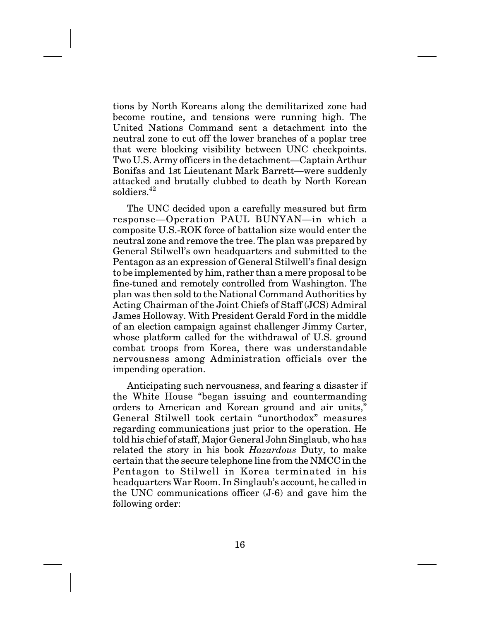tions by North Koreans along the demilitarized zone had become routine, and tensions were running high. The United Nations Command sent a detachment into the neutral zone to cut off the lower branches of a poplar tree that were blocking visibility between UNC checkpoints. Two U.S. Army officers in the detachment—Captain Arthur Bonifas and 1st Lieutenant Mark Barrett—were suddenly attacked and brutally clubbed to death by North Korean soldiers<sup>42</sup>

The UNC decided upon a carefully measured but firm response—Operation PAUL BUNYAN—in which a composite U.S.-ROK force of battalion size would enter the neutral zone and remove the tree. The plan was prepared by General Stilwell's own headquarters and submitted to the Pentagon as an expression of General Stilwell's final design to be implemented by him, rather than a mere proposal to be fine-tuned and remotely controlled from Washington. The plan was then sold to the National Command Authorities by Acting Chairman of the Joint Chiefs of Staff (JCS) Admiral James Holloway. With President Gerald Ford in the middle of an election campaign against challenger Jimmy Carter, whose platform called for the withdrawal of U.S. ground combat troops from Korea, there was understandable nervousness among Administration officials over the impending operation.

Anticipating such nervousness, and fearing a disaster if the White House "began issuing and countermanding orders to American and Korean ground and air units," General Stilwell took certain "unorthodox" measures regarding communications just prior to the operation. He told his chief of staff, Major General John Singlaub, who has related the story in his book *Hazardous* Duty, to make certain that the secure telephone line from the NMCC in the Pentagon to Stilwell in Korea terminated in his headquarters War Room. In Singlaub's account, he called in the UNC communications officer (J-6) and gave him the following order: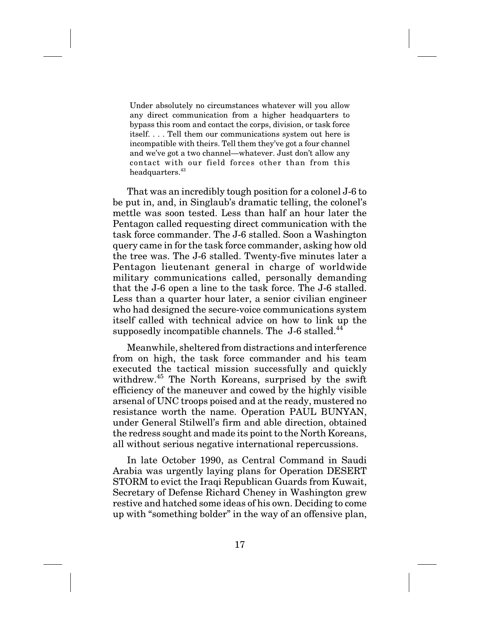Under absolutely no circumstances whatever will you allow any direct communication from a higher headquarters to bypass this room and contact the corps, division, or task force itself.... Tell them our communications system out here is incompatible with theirs. Tell them they've got a four channel and we've got a two channel—whatever. Just don't allow any contact with our field forces other than from this  $\,$  headquarters.  $^{43}$ 

That was an incredibly tough position for a colonel J-6 to be put in, and, in Singlaub's dramatic telling, the colonel's mettle was soon tested. Less than half an hour later the Pentagon called requesting direct communication with the task force commander. The J-6 stalled. Soon a Washington query came in for the task force commander, asking how old the tree was. The J-6 stalled. Twenty-five minutes later a Pentagon lieutenant general in charge of worldwide military communications called, personally demanding that the J-6 open a line to the task force. The J-6 stalled. Less than a quarter hour later, a senior civilian engineer who had designed the secure-voice communications system itself called with technical advice on how to link up the supposedly incompatible channels. The J-6 stalled.<sup>44</sup>

Meanwhile, sheltered from distractions and interference from on high, the task force commander and his team executed the tactical mission successfully and quickly withdrew.45 The North Koreans, surprised by the swift efficiency of the maneuver and cowed by the highly visible arsenal of UNC troops poised and at the ready, mustered no resistance worth the name. Operation PAUL BUNYAN, under General Stilwell's firm and able direction, obtained the redress sought and made its point to the North Koreans, all without serious negative international repercussions.

In late October 1990, as Central Command in Saudi Arabia was urgently laying plans for Operation DESERT STORM to evict the Iraqi Republican Guards from Kuwait, Secretary of Defense Richard Cheney in Washington grew restive and hatched some ideas of his own. Deciding to come up with "something bolder" in the way of an offensive plan,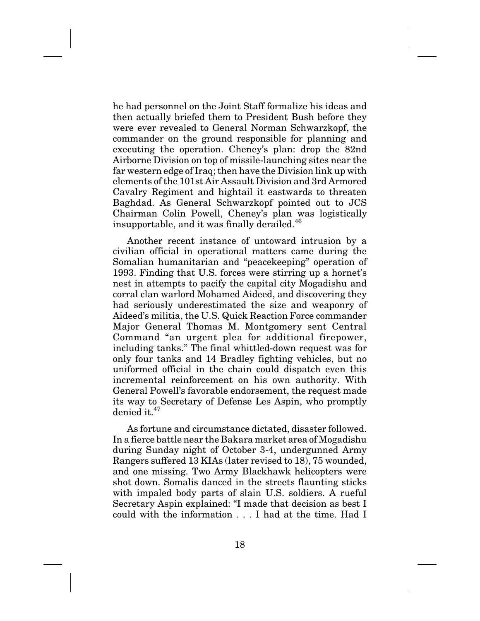he had personnel on the Joint Staff formalize his ideas and then actually briefed them to President Bush before they were ever revealed to General Norman Schwarzkopf, the commander on the ground responsible for planning and executing the operation. Cheney's plan: drop the 82nd Airborne Division on top of missile-launching sites near the far western edge of Iraq; then have the Division link up with elements of the 101st Air Assault Division and 3rd Armored Cavalry Regiment and hightail it eastwards to threaten Baghdad. As General Schwarzkopf pointed out to JCS Chairman Colin Powell, Cheney's plan was logistically insupportable, and it was finally derailed. $46$ 

Another recent instance of untoward intrusion by a civilian official in operational matters came during the Somalian humanitarian and "peacekeeping" operation of 1993. Finding that U.S. forces were stirring up a hornet's nest in attempts to pacify the capital city Mogadishu and corral clan warlord Mohamed Aideed, and discovering they had seriously underestimated the size and weaponry of Aideed's militia, the U.S. Quick Reaction Force commander Major General Thomas M. Montgomery sent Central Command "an urgent plea for additional firepower, including tanks." The final whittled-down request was for only four tanks and 14 Bradley fighting vehicles, but no uniformed official in the chain could dispatch even this incremental reinforcement on his own authority. With General Powell's favorable endorsement, the request made its way to Secretary of Defense Les Aspin, who promptly denied it.<sup>47</sup>

As fortune and circumstance dictated, disaster followed. In a fierce battle near the Bakara market area of Mogadishu during Sunday night of October 3-4, undergunned Army Rangers suffered 13 KIAs (later revised to 18), 75 wounded, and one missing. Two Army Blackhawk helicopters were shot down. Somalis danced in the streets flaunting sticks with impaled body parts of slain U.S. soldiers. A rueful Secretary Aspin explained: "I made that decision as best I could with the information . . . I had at the time. Had I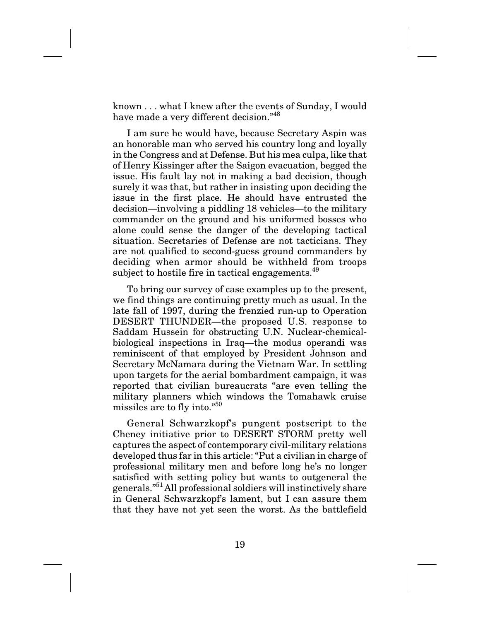known... what I knew after the events of Sunday, I would have made a very different decision."<sup>48</sup>

I am sure he would have, because Secretary Aspin was an honorable man who served his country long and loyally in the Congress and at Defense. But his mea culpa, like that of Henry Kissinger after the Saigon evacuation, begged the issue. His fault lay not in making a bad decision, though surely it was that, but rather in insisting upon deciding the issue in the first place. He should have entrusted the decision—involving a piddling 18 vehicles—to the military commander on the ground and his uniformed bosses who alone could sense the danger of the developing tactical situation. Secretaries of Defense are not tacticians. They are not qualified to second-guess ground commanders by deciding when armor should be withheld from troops subject to hostile fire in tactical engagements.<sup>49</sup>

To bring our survey of case examples up to the present, we find things are continuing pretty much as usual. In the late fall of 1997, during the frenzied run-up to Operation DESERT THUNDER—the proposed U.S. response to Saddam Hussein for obstructing U.N. Nuclear-chemicalbiological inspections in Iraq—the modus operandi was reminiscent of that employed by President Johnson and Secretary McNamara during the Vietnam War. In settling upon targets for the aerial bombardment campaign, it was reported that civilian bureaucrats "are even telling the military planners which windows the Tomahawk cruise missiles are to fly into."50

General Schwarzkopf's pungent postscript to the Cheney initiative prior to DESERT STORM pretty well captures the aspect of contemporary civil-military relations developed thus far in this article: "Put a civilian in charge of professional military men and before long he's no longer satisfied with setting policy but wants to outgeneral the generals."51All professional soldiers will instinctively share in General Schwarzkopf's lament, but I can assure them that they have not yet seen the worst. As the battlefield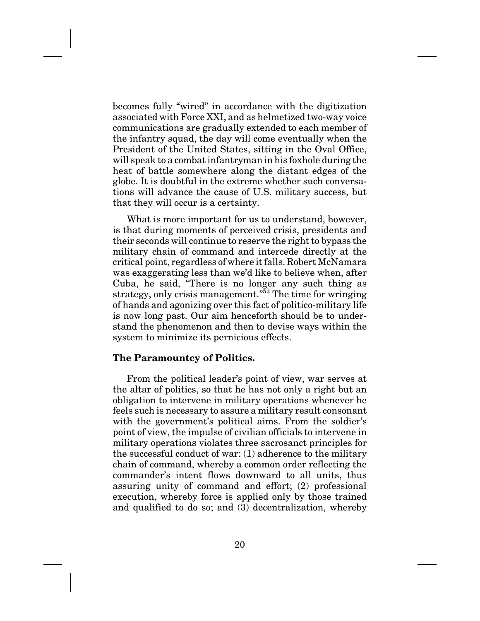becomes fully "wired" in accordance with the digitization associated with Force XXI, and as helmetized two-way voice communications are gradually extended to each member of the infantry squad, the day will come eventually when the President of the United States, sitting in the Oval Office, will speak to a combat infantryman in his foxhole during the heat of battle somewhere along the distant edges of the globe. It is doubtful in the extreme whether such conversations will advance the cause of U.S. military success, but that they will occur is a certainty.

What is more important for us to understand, however, is that during moments of perceived crisis, presidents and their seconds will continue to reserve the right to bypass the military chain of command and intercede directly at the critical point, regardless of where it falls. Robert McNamara was exaggerating less than we'd like to believe when, after Cuba, he said, "There is no longer any such thing as strategy, only crisis management.<sup> $52$ </sup> The time for wringing of hands and agonizing over this fact of politico-military life is now long past. Our aim henceforth should be to understand the phenomenon and then to devise ways within the system to minimize its pernicious effects.

## **The Paramountcy of Politics.**

From the political leader's point of view, war serves at the altar of politics, so that he has not only a right but an obligation to intervene in military operations whenever he feels such is necessary to assure a military result consonant with the government's political aims. From the soldier's point of view, the impulse of civilian officials to intervene in military operations violates three sacrosanct principles for the successful conduct of war: (1) adherence to the military chain of command, whereby a common order reflecting the commander's intent flows downward to all units, thus assuring unity of command and effort; (2) professional execution, whereby force is applied only by those trained and qualified to do so; and (3) decentralization, whereby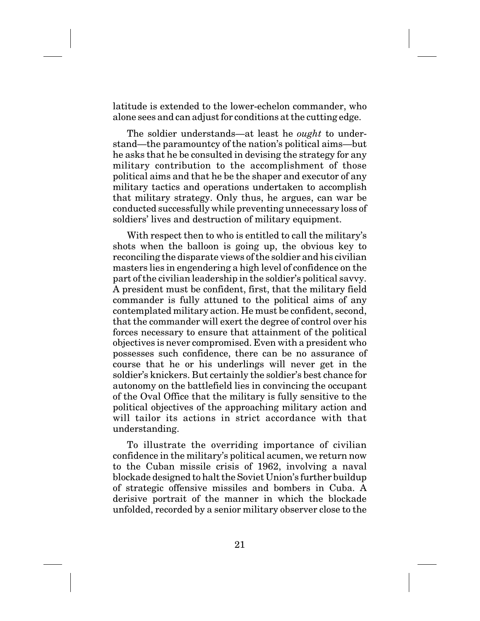latitude is extended to the lower-echelon commander, who alone sees and can adjust for conditions at the cutting edge.

The soldier understands—at least he *ought* to understand—the paramountcy of the nation's political aims—but he asks that he be consulted in devising the strategy for any military contribution to the accomplishment of those political aims and that he be the shaper and executor of any military tactics and operations undertaken to accomplish that military strategy. Only thus, he argues, can war be conducted successfully while preventing unnecessary loss of soldiers' lives and destruction of military equipment.

With respect then to who is entitled to call the military's shots when the balloon is going up, the obvious key to reconciling the disparate views of the soldier and his civilian masters lies in engendering a high level of confidence on the part of the civilian leadership in the soldier's political savvy. A president must be confident, first, that the military field commander is fully attuned to the political aims of any contemplated military action. He must be confident, second, that the commander will exert the degree of control over his forces necessary to ensure that attainment of the political objectives is never compromised. Even with a president who possesses such confidence, there can be no assurance of course that he or his underlings will never get in the soldier's knickers. But certainly the soldier's best chance for autonomy on the battlefield lies in convincing the occupant of the Oval Office that the military is fully sensitive to the political objectives of the approaching military action and will tailor its actions in strict accordance with that understanding.

To illustrate the overriding importance of civilian confidence in the military's political acumen, we return now to the Cuban missile crisis of 1962, involving a naval blockade designed to halt the Soviet Union's further buildup of strategic offensive missiles and bombers in Cuba. A derisive portrait of the manner in which the blockade unfolded, recorded by a senior military observer close to the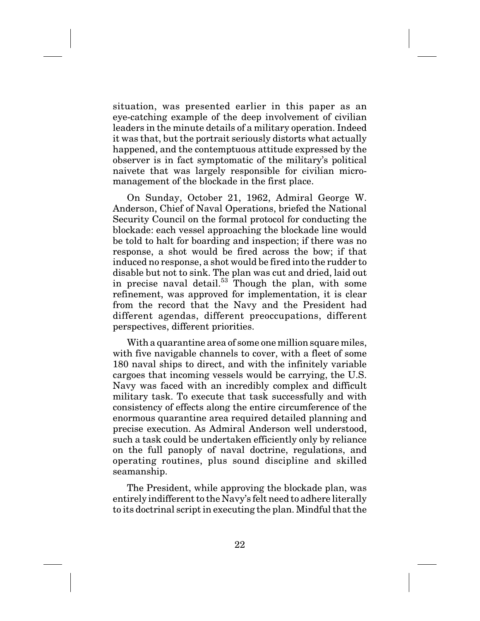situation, was presented earlier in this paper as an eye-catching example of the deep involvement of civilian leaders in the minute details of a military operation. Indeed it was that, but the portrait seriously distorts what actually happened, and the contemptuous attitude expressed by the observer is in fact symptomatic of the military's political naivete that was largely responsible for civilian micromanagement of the blockade in the first place.

On Sunday, October 21, 1962, Admiral George W. Anderson, Chief of Naval Operations, briefed the National Security Council on the formal protocol for conducting the blockade: each vessel approaching the blockade line would be told to halt for boarding and inspection; if there was no response, a shot would be fired across the bow; if that induced no response, a shot would be fired into the rudder to disable but not to sink. The plan was cut and dried, laid out in precise naval detail.<sup>53</sup> Though the plan, with some refinement, was approved for implementation, it is clear from the record that the Navy and the President had different agendas, different preoccupations, different perspectives, different priorities.

With a quarantine area of some one million square miles, with five navigable channels to cover, with a fleet of some 180 naval ships to direct, and with the infinitely variable cargoes that incoming vessels would be carrying, the U.S. Navy was faced with an incredibly complex and difficult military task. To execute that task successfully and with consistency of effects along the entire circumference of the enormous quarantine area required detailed planning and precise execution. As Admiral Anderson well understood, such a task could be undertaken efficiently only by reliance on the full panoply of naval doctrine, regulations, and operating routines, plus sound discipline and skilled seamanship.

The President, while approving the blockade plan, was entirely indifferent to the Navy's felt need to adhere literally to its doctrinal script in executing the plan. Mindful that the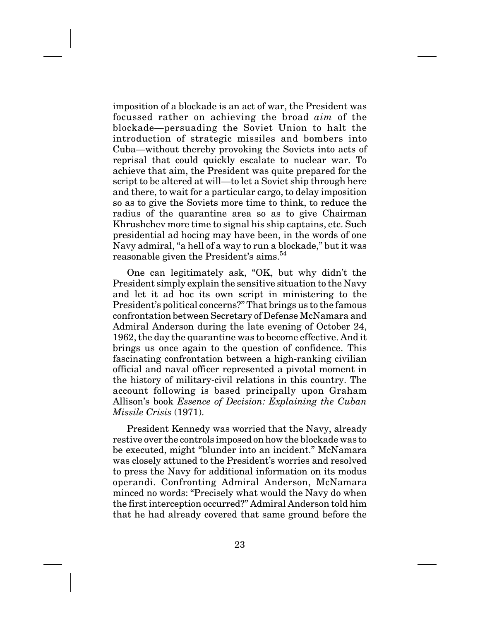imposition of a blockade is an act of war, the President was focussed rather on achieving the broad *aim* of the blockade—persuading the Soviet Union to halt the introduction of strategic missiles and bombers into Cuba—without thereby provoking the Soviets into acts of reprisal that could quickly escalate to nuclear war. To achieve that aim, the President was quite prepared for the script to be altered at will—to let a Soviet ship through here and there, to wait for a particular cargo, to delay imposition so as to give the Soviets more time to think, to reduce the radius of the quarantine area so as to give Chairman Khrushchev more time to signal his ship captains, etc. Such presidential ad hocing may have been, in the words of one Navy admiral, "a hell of a way to run a blockade," but it was reasonable given the President's aims.<sup>54</sup>

One can legitimately ask, "OK, but why didn't the President simply explain the sensitive situation to the Navy and let it ad hoc its own script in ministering to the President's political concerns?" That brings us to the famous confrontation between Secretary of Defense McNamara and Admiral Anderson during the late evening of October 24, 1962, the day the quarantine was to become effective. And it brings us once again to the question of confidence. This fascinating confrontation between a high-ranking civilian official and naval officer represented a pivotal moment in the history of military-civil relations in this country. The account following is based principally upon Graham Allison's book *Essence of Decision: Explaining the Cuban Missile Crisis* (1971).

President Kennedy was worried that the Navy, already restive over the controls imposed on how the blockade was to be executed, might "blunder into an incident." McNamara was closely attuned to the President's worries and resolved to press the Navy for additional information on its modus operandi. Confronting Admiral Anderson, McNamara minced no words: "Precisely what would the Navy do when the first interception occurred?" Admiral Anderson told him that he had already covered that same ground before the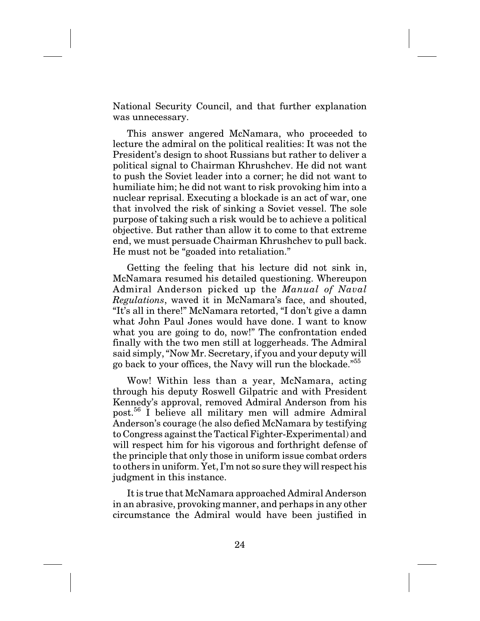National Security Council, and that further explanation was unnecessary.

This answer angered McNamara, who proceeded to lecture the admiral on the political realities: It was not the President's design to shoot Russians but rather to deliver a political signal to Chairman Khrushchev. He did not want to push the Soviet leader into a corner; he did not want to humiliate him; he did not want to risk provoking him into a nuclear reprisal. Executing a blockade is an act of war, one that involved the risk of sinking a Soviet vessel. The sole purpose of taking such a risk would be to achieve a political objective. But rather than allow it to come to that extreme end, we must persuade Chairman Khrushchev to pull back. He must not be "goaded into retaliation."

Getting the feeling that his lecture did not sink in, McNamara resumed his detailed questioning. Whereupon Admiral Anderson picked up the *Manual of Naval Regulations*, waved it in McNamara's face, and shouted, "It's all in there!" McNamara retorted, "I don't give a damn what John Paul Jones would have done. I want to know what you are going to do, now!" The confrontation ended finally with the two men still at loggerheads. The Admiral said simply, "Now Mr. Secretary, if you and your deputy will go back to your offices, the Navy will run the blockade."55

Wow! Within less than a year, McNamara, acting through his deputy Roswell Gilpatric and with President Kennedy's approval, removed Admiral Anderson from his post.<sup>56</sup> I believe all military men will admire Admiral Anderson's courage (he also defied McNamara by testifying to Congress against the Tactical Fighter-Experimental) and will respect him for his vigorous and forthright defense of the principle that only those in uniform issue combat orders to others in uniform. Yet, I'm not so sure they will respect his judgment in this instance.

It is true that McNamara approached Admiral Anderson in an abrasive, provoking manner, and perhaps in any other circumstance the Admiral would have been justified in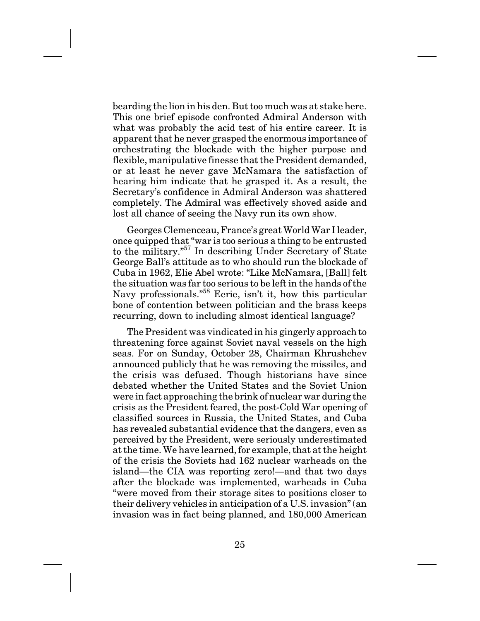bearding the lion in his den. But too much was at stake here. This one brief episode confronted Admiral Anderson with what was probably the acid test of his entire career. It is apparent that he never grasped the enormous importance of orchestrating the blockade with the higher purpose and flexible, manipulative finesse that the President demanded, or at least he never gave McNamara the satisfaction of hearing him indicate that he grasped it. As a result, the Secretary's confidence in Admiral Anderson was shattered completely. The Admiral was effectively shoved aside and lost all chance of seeing the Navy run its own show.

Georges Clemenceau, France's great World War I leader, once quipped that "war is too serious a thing to be entrusted to the military."57 In describing Under Secretary of State George Ball's attitude as to who should run the blockade of Cuba in 1962, Elie Abel wrote: "Like McNamara, [Ball] felt the situation was far too serious to be left in the hands of the Navy professionals.<sup>"58</sup> Eerie, isn't it, how this particular bone of contention between politician and the brass keeps recurring, down to including almost identical language?

The President was vindicated in his gingerly approach to threatening force against Soviet naval vessels on the high seas. For on Sunday, October 28, Chairman Khrushchev announced publicly that he was removing the missiles, and the crisis was defused. Though historians have since debated whether the United States and the Soviet Union were in fact approaching the brink of nuclear war during the crisis as the President feared, the post-Cold War opening of classified sources in Russia, the United States, and Cuba has revealed substantial evidence that the dangers, even as perceived by the President, were seriously underestimated at the time. We have learned, for example, that at the height of the crisis the Soviets had 162 nuclear warheads on the island—the CIA was reporting zero!—and that two days after the blockade was implemented, warheads in Cuba "were moved from their storage sites to positions closer to their delivery vehicles in anticipation of a U.S. invasion" (an invasion was in fact being planned, and 180,000 American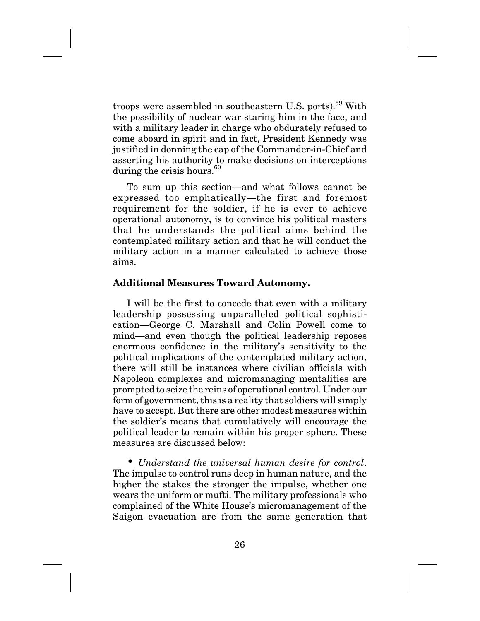troops were assembled in southeastern U.S. ports).<sup>59</sup> With the possibility of nuclear war staring him in the face, and with a military leader in charge who obdurately refused to come aboard in spirit and in fact, President Kennedy was justified in donning the cap of the Commander-in-Chief and asserting his authority to make decisions on interceptions during the crisis hours.<sup>60</sup>

To sum up this section—and what follows cannot be expressed too emphatically—the first and foremost requirement for the soldier, if he is ever to achieve operational autonomy, is to convince his political masters that he understands the political aims behind the contemplated military action and that he will conduct the military action in a manner calculated to achieve those aims.

## **Additional Measures Toward Autonomy.**

I will be the first to concede that even with a military leadership possessing unparalleled political sophistication—George C. Marshall and Colin Powell come to mind—and even though the political leadership reposes enormous confidence in the military's sensitivity to the political implications of the contemplated military action, there will still be instances where civilian officials with Napoleon complexes and micromanaging mentalities are prompted to seize the reins of operational control. Under our form of government, this is a reality that soldiers will simply have to accept. But there are other modest measures within the soldier's means that cumulatively will encourage the political leader to remain within his proper sphere. These measures are discussed below:

• *Understand the universal human desire for control*. The impulse to control runs deep in human nature, and the higher the stakes the stronger the impulse, whether one wears the uniform or mufti. The military professionals who complained of the White House's micromanagement of the Saigon evacuation are from the same generation that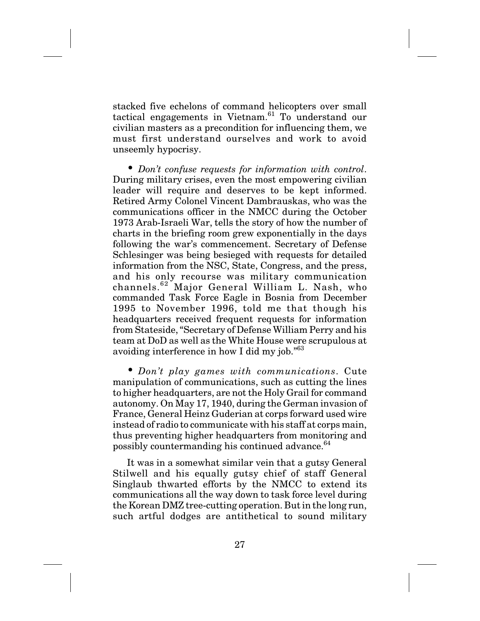stacked five echelons of command helicopters over small tactical engagements in Vietnam.<sup>61</sup> To understand our civilian masters as a precondition for influencing them, we must first understand ourselves and work to avoid unseemly hypocrisy.

• *Don't confuse requests for information with control*. During military crises, even the most empowering civilian leader will require and deserves to be kept informed. Retired Army Colonel Vincent Dambrauskas, who was the communications officer in the NMCC during the October 1973 Arab-Israeli War, tells the story of how the number of charts in the briefing room grew exponentially in the days following the war's commencement. Secretary of Defense Schlesinger was being besieged with requests for detailed information from the NSC, State, Congress, and the press, and his only recourse was military communication channels.<sup>62</sup> Major General William L. Nash, who commanded Task Force Eagle in Bosnia from December 1995 to November 1996, told me that though his headquarters received frequent requests for information from Stateside, "Secretary of Defense William Perry and his team at DoD as well as the White House were scrupulous at avoiding interference in how I did my job."63

• *Don't play games with communications*. Cute manipulation of communications, such as cutting the lines to higher headquarters, are not the Holy Grail for command autonomy. On May 17, 1940, during the German invasion of France, General Heinz Guderian at corps forward used wire instead of radio to communicate with his staff at corps main, thus preventing higher headquarters from monitoring and possibly countermanding his continued advance.<sup>64</sup>

It was in a somewhat similar vein that a gutsy General Stilwell and his equally gutsy chief of staff General Singlaub thwarted efforts by the NMCC to extend its communications all the way down to task force level during the Korean DMZ tree-cutting operation. But in the long run, such artful dodges are antithetical to sound military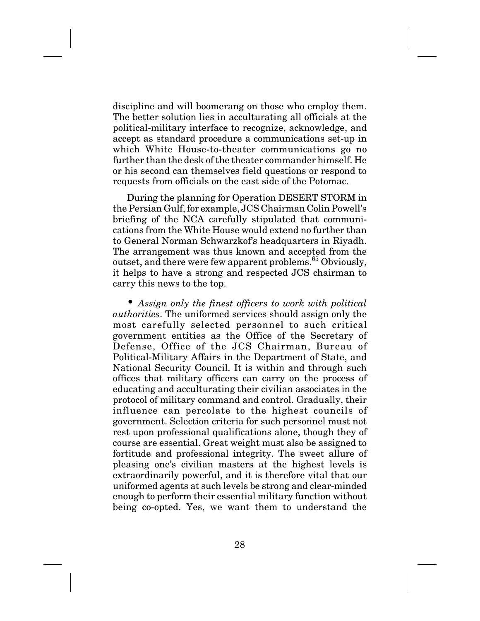discipline and will boomerang on those who employ them. The better solution lies in acculturating all officials at the political-military interface to recognize, acknowledge, and accept as standard procedure a communications set-up in which White House-to-theater communications go no further than the desk of the theater commander himself. He or his second can themselves field questions or respond to requests from officials on the east side of the Potomac.

During the planning for Operation DESERT STORM in the Persian Gulf, for example, JCS Chairman Colin Powell's briefing of the NCA carefully stipulated that communications from the White House would extend no further than to General Norman Schwarzkof's headquarters in Riyadh. The arrangement was thus known and accepted from the outset, and there were few apparent problems.<sup>65</sup> Obviously, it helps to have a strong and respected JCS chairman to carry this news to the top.

• *Assign only the finest officers to work with political authorities*. The uniformed services should assign only the most carefully selected personnel to such critical government entities as the Office of the Secretary of Defense, Office of the JCS Chairman, Bureau of Political-Military Affairs in the Department of State, and National Security Council. It is within and through such offices that military officers can carry on the process of educating and acculturating their civilian associates in the protocol of military command and control. Gradually, their influence can percolate to the highest councils of government. Selection criteria for such personnel must not rest upon professional qualifications alone, though they of course are essential. Great weight must also be assigned to fortitude and professional integrity. The sweet allure of pleasing one's civilian masters at the highest levels is extraordinarily powerful, and it is therefore vital that our uniformed agents at such levels be strong and clear-minded enough to perform their essential military function without being co-opted. Yes, we want them to understand the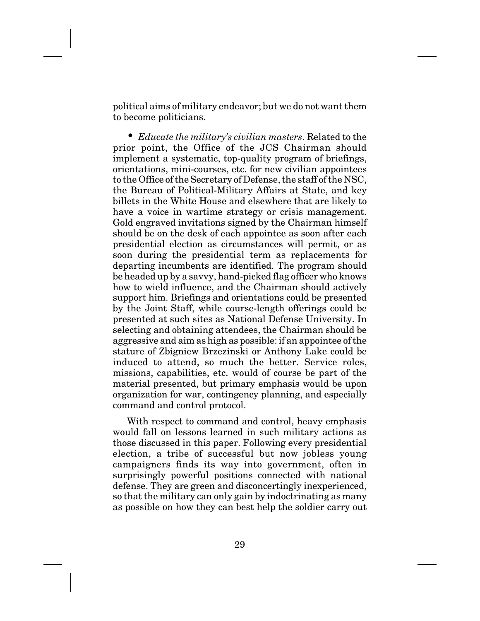political aims of military endeavor; but we do not want them to become politicians.

• *Educate the military's civilian masters*. Related to the prior point, the Office of the JCS Chairman should implement a systematic, top-quality program of briefings, orientations, mini-courses, etc. for new civilian appointees to the Office of the Secretary of Defense, the staff of the NSC, the Bureau of Political-Military Affairs at State, and key billets in the White House and elsewhere that are likely to have a voice in wartime strategy or crisis management. Gold engraved invitations signed by the Chairman himself should be on the desk of each appointee as soon after each presidential election as circumstances will permit, or as soon during the presidential term as replacements for departing incumbents are identified. The program should be headed up by a savvy, hand-picked flag officer who knows how to wield influence, and the Chairman should actively support him. Briefings and orientations could be presented by the Joint Staff, while course-length offerings could be presented at such sites as National Defense University. In selecting and obtaining attendees, the Chairman should be aggressive and aim as high as possible: if an appointee of the stature of Zbigniew Brzezinski or Anthony Lake could be induced to attend, so much the better. Service roles, missions, capabilities, etc. would of course be part of the material presented, but primary emphasis would be upon organization for war, contingency planning, and especially command and control protocol.

With respect to command and control, heavy emphasis would fall on lessons learned in such military actions as those discussed in this paper. Following every presidential election, a tribe of successful but now jobless young campaigners finds its way into government, often in surprisingly powerful positions connected with national defense. They are green and disconcertingly inexperienced, so that the military can only gain by indoctrinating as many as possible on how they can best help the soldier carry out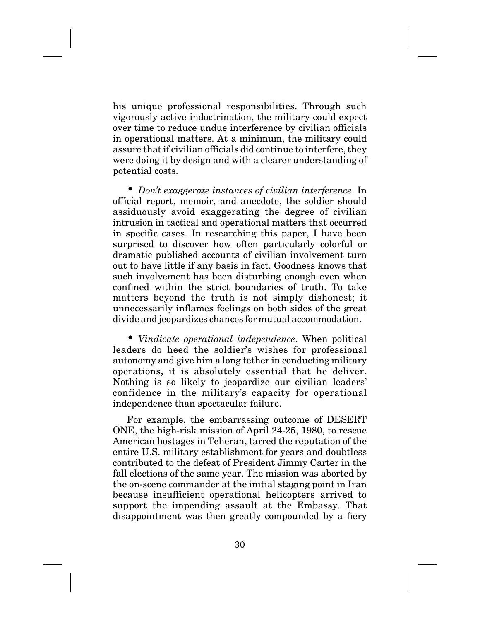his unique professional responsibilities. Through such vigorously active indoctrination, the military could expect over time to reduce undue interference by civilian officials in operational matters. At a minimum, the military could assure that if civilian officials did continue to interfere, they were doing it by design and with a clearer understanding of potential costs.

• *Don't exaggerate instances of civilian interference*. In official report, memoir, and anecdote, the soldier should assiduously avoid exaggerating the degree of civilian intrusion in tactical and operational matters that occurred in specific cases. In researching this paper, I have been surprised to discover how often particularly colorful or dramatic published accounts of civilian involvement turn out to have little if any basis in fact. Goodness knows that such involvement has been disturbing enough even when confined within the strict boundaries of truth. To take matters beyond the truth is not simply dishonest; it unnecessarily inflames feelings on both sides of the great divide and jeopardizes chances for mutual accommodation.

• *Vindicate operational independence*. When political leaders do heed the soldier's wishes for professional autonomy and give him a long tether in conducting military operations, it is absolutely essential that he deliver. Nothing is so likely to jeopardize our civilian leaders' confidence in the military's capacity for operational independence than spectacular failure.

For example, the embarrassing outcome of DESERT ONE, the high-risk mission of April 24-25, 1980, to rescue American hostages in Teheran, tarred the reputation of the entire U.S. military establishment for years and doubtless contributed to the defeat of President Jimmy Carter in the fall elections of the same year. The mission was aborted by the on-scene commander at the initial staging point in Iran because insufficient operational helicopters arrived to support the impending assault at the Embassy. That disappointment was then greatly compounded by a fiery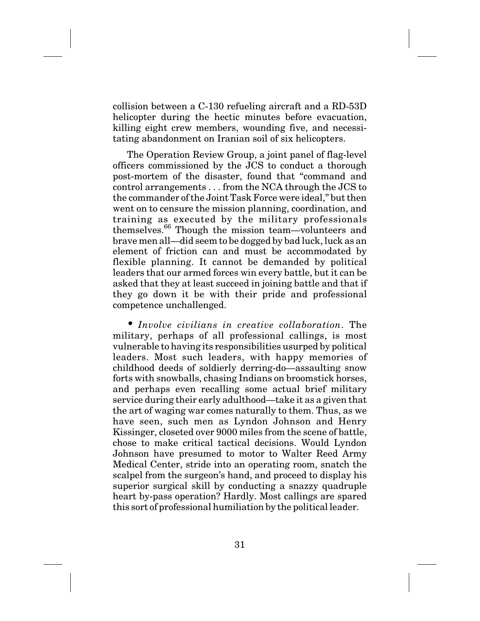collision between a C-130 refueling aircraft and a RD-53D helicopter during the hectic minutes before evacuation, killing eight crew members, wounding five, and necessitating abandonment on Iranian soil of six helicopters.

The Operation Review Group, a joint panel of flag-level officers commissioned by the JCS to conduct a thorough post-mortem of the disaster, found that "command and control arrangements... from the NCA through the JCS to the commander of the Joint Task Force were ideal," but then went on to censure the mission planning, coordination, and training as executed by the military professionals themselves.66 Though the mission team—volunteers and brave men all—did seem to be dogged by bad luck, luck as an element of friction can and must be accommodated by flexible planning. It cannot be demanded by political leaders that our armed forces win every battle, but it can be asked that they at least succeed in joining battle and that if they go down it be with their pride and professional competence unchallenged.

• *Involve civilians in creative collaboration*. The military, perhaps of all professional callings, is most vulnerable to having its responsibilities usurped by political leaders. Most such leaders, with happy memories of childhood deeds of soldierly derring-do—assaulting snow forts with snowballs, chasing Indians on broomstick horses, and perhaps even recalling some actual brief military service during their early adulthood—take it as a given that the art of waging war comes naturally to them. Thus, as we have seen, such men as Lyndon Johnson and Henry Kissinger, closeted over 9000 miles from the scene of battle, chose to make critical tactical decisions. Would Lyndon Johnson have presumed to motor to Walter Reed Army Medical Center, stride into an operating room, snatch the scalpel from the surgeon's hand, and proceed to display his superior surgical skill by conducting a snazzy quadruple heart by-pass operation? Hardly. Most callings are spared this sort of professional humiliation by the political leader.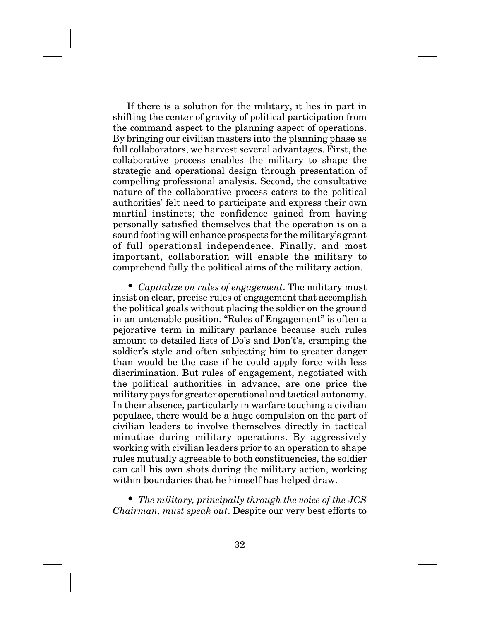If there is a solution for the military, it lies in part in shifting the center of gravity of political participation from the command aspect to the planning aspect of operations. By bringing our civilian masters into the planning phase as full collaborators, we harvest several advantages. First, the collaborative process enables the military to shape the strategic and operational design through presentation of compelling professional analysis. Second, the consultative nature of the collaborative process caters to the political authorities' felt need to participate and express their own martial instincts; the confidence gained from having personally satisfied themselves that the operation is on a sound footing will enhance prospects for the military's grant of full operational independence. Finally, and most important, collaboration will enable the military to comprehend fully the political aims of the military action.

• *Capitalize on rules of engagement*. The military must insist on clear, precise rules of engagement that accomplish the political goals without placing the soldier on the ground in an untenable position. "Rules of Engagement" is often a pejorative term in military parlance because such rules amount to detailed lists of Do's and Don't's, cramping the soldier's style and often subjecting him to greater danger than would be the case if he could apply force with less discrimination. But rules of engagement, negotiated with the political authorities in advance, are one price the military pays for greater operational and tactical autonomy. In their absence, particularly in warfare touching a civilian populace, there would be a huge compulsion on the part of civilian leaders to involve themselves directly in tactical minutiae during military operations. By aggressively working with civilian leaders prior to an operation to shape rules mutually agreeable to both constituencies, the soldier can call his own shots during the military action, working within boundaries that he himself has helped draw.

• *The military, principally through the voice of the JCS Chairman, must speak out*. Despite our very best efforts to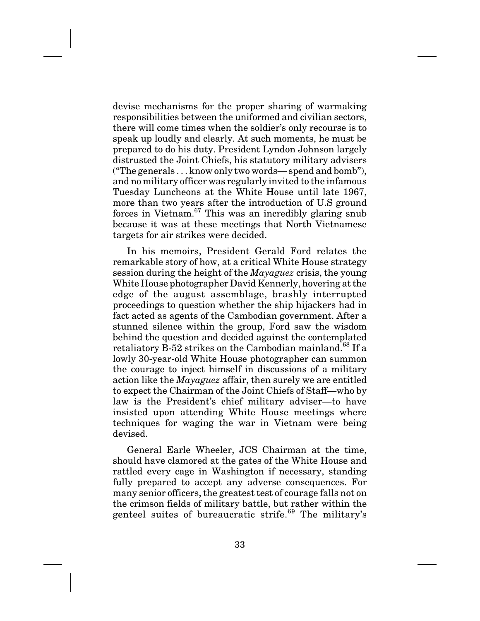devise mechanisms for the proper sharing of warmaking responsibilities between the uniformed and civilian sectors, there will come times when the soldier's only recourse is to speak up loudly and clearly. At such moments, he must be prepared to do his duty. President Lyndon Johnson largely distrusted the Joint Chiefs, his statutory military advisers ("The generals... know only two words— spend and bomb"), and no military officer was regularly invited to the infamous Tuesday Luncheons at the White House until late 1967, more than two years after the introduction of U.S ground forces in Vietnam.<sup>67</sup> This was an incredibly glaring snub because it was at these meetings that North Vietnamese targets for air strikes were decided.

In his memoirs, President Gerald Ford relates the remarkable story of how, at a critical White House strategy session during the height of the *Mayaguez* crisis, the young White House photographer David Kennerly, hovering at the edge of the august assemblage, brashly interrupted proceedings to question whether the ship hijackers had in fact acted as agents of the Cambodian government. After a stunned silence within the group, Ford saw the wisdom behind the question and decided against the contemplated retaliatory B-52 strikes on the Cambodian mainland.<sup>68</sup> If a lowly 30-year-old White House photographer can summon the courage to inject himself in discussions of a military action like the *Mayaguez* affair, then surely we are entitled to expect the Chairman of the Joint Chiefs of Staff—who by law is the President's chief military adviser—to have insisted upon attending White House meetings where techniques for waging the war in Vietnam were being devised.

General Earle Wheeler, JCS Chairman at the time, should have clamored at the gates of the White House and rattled every cage in Washington if necessary, standing fully prepared to accept any adverse consequences. For many senior officers, the greatest test of courage falls not on the crimson fields of military battle, but rather within the genteel suites of bureaucratic strife.<sup>69</sup> The military's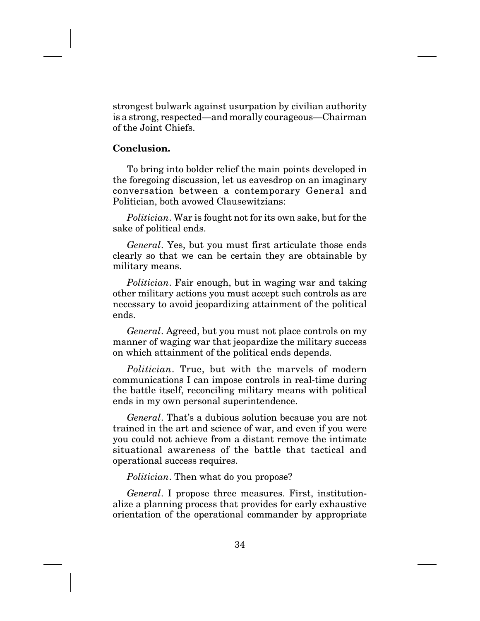strongest bulwark against usurpation by civilian authority is a strong, respected—and morally courageous—Chairman of the Joint Chiefs.

# **Conclusion.**

To bring into bolder relief the main points developed in the foregoing discussion, let us eavesdrop on an imaginary conversation between a contemporary General and Politician, both avowed Clausewitzians:

*Politician*. War is fought not for its own sake, but for the sake of political ends.

*General*. Yes, but you must first articulate those ends clearly so that we can be certain they are obtainable by military means.

*Politician*. Fair enough, but in waging war and taking other military actions you must accept such controls as are necessary to avoid jeopardizing attainment of the political ends.

*General*. Agreed, but you must not place controls on my manner of waging war that jeopardize the military success on which attainment of the political ends depends.

*Politician*. True, but with the marvels of modern communications I can impose controls in real-time during the battle itself, reconciling military means with political ends in my own personal superintendence.

*General*. That's a dubious solution because you are not trained in the art and science of war, and even if you were you could not achieve from a distant remove the intimate situational awareness of the battle that tactical and operational success requires.

*Politician*. Then what do you propose?

*General*. I propose three measures. First, institutionalize a planning process that provides for early exhaustive orientation of the operational commander by appropriate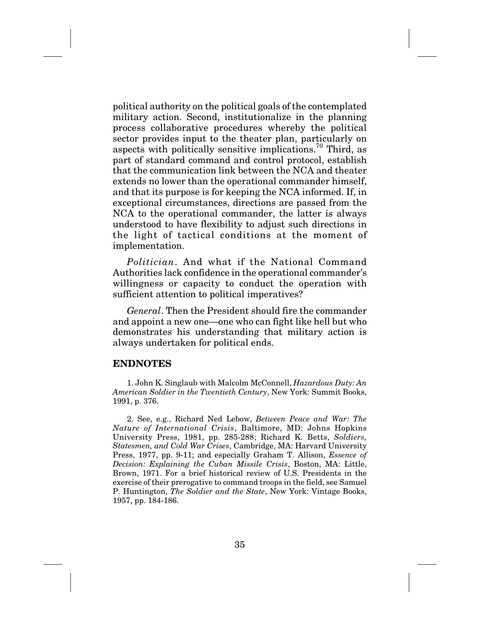political authority on the political goals of the contemplated military action. Second, institutionalize in the planning process collaborative procedures whereby the political sector provides input to the theater plan, particularly on aspects with politically sensitive implications.<sup>70</sup> Third, as part of standard command and control protocol, establish that the communication link between the NCA and theater extends no lower than the operational commander himself, and that its purpose is for keeping the NCA informed. If, in exceptional circumstances, directions are passed from the NCA to the operational commander, the latter is always understood to have flexibility to adjust such directions in the light of tactical conditions at the moment of implementation.

*Politician*. And what if the National Command Authorities lack confidence in the operational commander's willingness or capacity to conduct the operation with sufficient attention to political imperatives?

*General*. Then the President should fire the commander and appoint a new one—one who can fight like hell but who demonstrates his understanding that military action is always undertaken for political ends.

### **ENDNOTES**

1. John K. Singlaub with Malcolm McConnell, *Hazardous Duty: An American Soldier in the Twentieth Century*, New York: Summit Books, 1991, p. 376.

2. See, e.g., Richard Ned Lebow, *Between Peace and War: The Nature of International Crisis*, Baltimore, MD: Johns Hopkins University Press, 1981, pp. 285-288; Richard K. Betts, *Soldiers, Statesmen, and Cold War Crises*, Cambridge, MA: Harvard University Press, 1977, pp. 9-11; and especially Graham T. Allison, *Essence of Decision: Explaining the Cuban Missile Crisis*, Boston, MA: Little, Brown, 1971. For a brief historical review of U.S. Presidents in the exercise of their prerogative to command troops in the field, see Samuel P. Huntington, *The Soldier and the State*, New York: Vintage Books, 1957, pp. 184-186.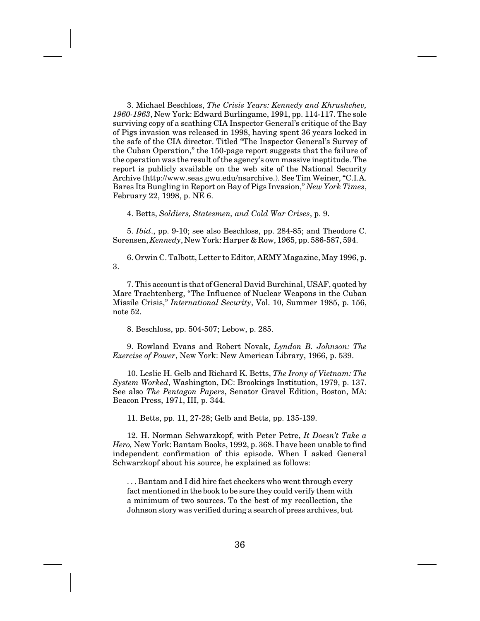3. Michael Beschloss, *The Crisis Years: Kennedy and Khrushchev, 1960-1963*, New York: Edward Burlingame, 1991, pp. 114-117. The sole surviving copy of a scathing CIA Inspector General's critique of the Bay of Pigs invasion was released in 1998, having spent 36 years locked in the safe of the CIA director. Titled "The Inspector General's Survey of the Cuban Operation," the 150-page report suggests that the failure of the operation was the result of the agency's own massive ineptitude. The report is publicly available on the web site of the National Security Archive (http://www.seas.gwu.edu/nsarchive.). See Tim Weiner, "C.I.A. Bares Its Bungling in Report on Bay of Pigs Invasion," *New York Times*, February 22, 1998, p. NE 6.

4. Betts, *Soldiers, Statesmen, and Cold War Crises*, p. 9.

5. *Ibid*., pp. 9-10; see also Beschloss, pp. 284-85; and Theodore C. Sorensen, *Kennedy*, New York: Harper & Row, 1965, pp. 586-587, 594.

6. Orwin C. Talbott, Letter to Editor, ARMY Magazine, May 1996, p. 3.

7. This account is that of General David Burchinal, USAF, quoted by Marc Trachtenberg, "The Influence of Nuclear Weapons in the Cuban Missile Crisis," *International Security*, Vol. 10, Summer 1985, p. 156, note 52.

8. Beschloss, pp. 504-507; Lebow, p. 285.

9. Rowland Evans and Robert Novak, *Lyndon B. Johnson: The Exercise of Power*, New York: New American Library, 1966, p. 539.

10. Leslie H. Gelb and Richard K. Betts, *The Irony of Vietnam: The System Worked*, Washington, DC: Brookings Institution, 1979, p. 137. See also *The Pentagon Papers*, Senator Gravel Edition, Boston, MA: Beacon Press, 1971, III, p. 344.

11. Betts, pp. 11, 27-28; Gelb and Betts, pp. 135-139.

12. H. Norman Schwarzkopf, with Peter Petre, *It Doesn't Take a Hero,* New York: Bantam Books, 1992, p. 368. I have been unable to find independent confirmation of this episode. When I asked General Schwarzkopf about his source, he explained as follows:

. . . Bantam and I did hire fact checkers who went through every fact mentioned in the book to be sure they could verify them with a minimum of two sources. To the best of my recollection, the Johnson story was verified during a search of press archives, but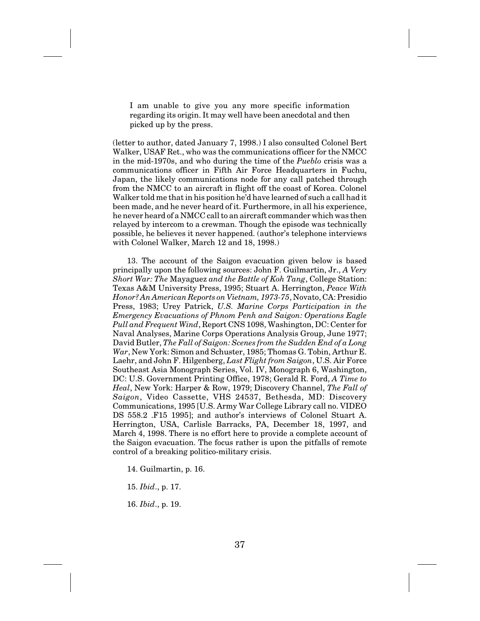I am unable to give you any more specific information regarding its origin. It may well have been anecdotal and then picked up by the press.

(letter to author, dated January 7, 1998.) I also consulted Colonel Bert Walker, USAF Ret., who was the communications officer for the NMCC in the mid-1970s, and who during the time of the *Pueblo* crisis was a communications officer in Fifth Air Force Headquarters in Fuchu, Japan, the likely communications node for any call patched through from the NMCC to an aircraft in flight off the coast of Korea. Colonel Walker told me that in his position he'd have learned of such a call had it been made, and he never heard of it. Furthermore, in all his experience, he never heard of a NMCC call to an aircraft commander which was then relayed by intercom to a crewman. Though the episode was technically possible, he believes it never happened. (author's telephone interviews with Colonel Walker, March 12 and 18, 1998.)

13. The account of the Saigon evacuation given below is based principally upon the following sources: John F. Guilmartin, Jr., *A Very Short War: The* Mayaguez *and the Battle of Koh Tang*, College Station: Texas A&M University Press, 1995; Stuart A. Herrington, *Peace With Honor? An American Reports on Vietnam, 1973-75*, Novato, CA: Presidio Press, 1983; Urey Patrick, *U.S. Marine Corps Participation in the Emergency Evacuations of Phnom Penh and Saigon: Operations Eagle Pull and Frequent Wind*, Report CNS 1098, Washington, DC: Center for Naval Analyses, Marine Corps Operations Analysis Group, June 1977; David Butler, *The Fall of Saigon: Scenes from the Sudden End of a Long War*, New York: Simon and Schuster, 1985; Thomas G. Tobin, Arthur E. Laehr, and John F. Hilgenberg, *Last Flight from Saigon*, U.S. Air Force Southeast Asia Monograph Series, Vol. IV, Monograph 6, Washington, DC: U.S. Government Printing Office, 1978; Gerald R. Ford, *A Time to Heal*, New York: Harper & Row, 1979; Discovery Channel, *The Fall of Saigon*, Video Cassette, VHS 24537, Bethesda, MD: Discovery Communications, 1995 [U.S. Army War College Library call no. VIDEO DS 558.2 .F15 1995]; and author's interviews of Colonel Stuart A. Herrington, USA, Carlisle Barracks, PA, December 18, 1997, and March 4, 1998. There is no effort here to provide a complete account of the Saigon evacuation. The focus rather is upon the pitfalls of remote control of a breaking politico-military crisis.

14. Guilmartin, p. 16.

15. *Ibid*., p. 17.

16. *Ibid*., p. 19.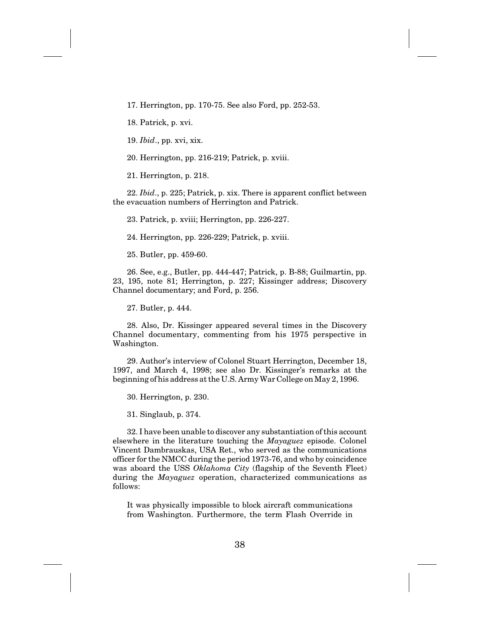17. Herrington, pp. 170-75. See also Ford, pp. 252-53.

18. Patrick, p. xvi.

19. *Ibid*., pp. xvi, xix.

20. Herrington, pp. 216-219; Patrick, p. xviii.

21. Herrington, p. 218.

22. *Ibid*., p. 225; Patrick, p. xix. There is apparent conflict between the evacuation numbers of Herrington and Patrick.

23. Patrick, p. xviii; Herrington, pp. 226-227.

24. Herrington, pp. 226-229; Patrick, p. xviii.

25. Butler, pp. 459-60.

26. See, e.g., Butler, pp. 444-447; Patrick, p. B-88; Guilmartin, pp. 23, 195, note 81; Herrington, p. 227; Kissinger address; Discovery Channel documentary; and Ford, p. 256.

27. Butler, p. 444.

28. Also, Dr. Kissinger appeared several times in the Discovery Channel documentary, commenting from his 1975 perspective in Washington.

29. Author's interview of Colonel Stuart Herrington, December 18, 1997, and March 4, 1998; see also Dr. Kissinger's remarks at the beginning of his address at the U.S. Army War College on May 2, 1996.

30. Herrington, p. 230.

31. Singlaub, p. 374.

32. I have been unable to discover any substantiation of this account elsewhere in the literature touching the *Mayaguez* episode. Colonel Vincent Dambrauskas, USA Ret., who served as the communications officer for the NMCC during the period 1973-76, and who by coincidence was aboard the USS *Oklahoma City* (flagship of the Seventh Fleet) during the *Mayaguez* operation, characterized communications as follows:

It was physically impossible to block aircraft communications from Washington. Furthermore, the term Flash Override in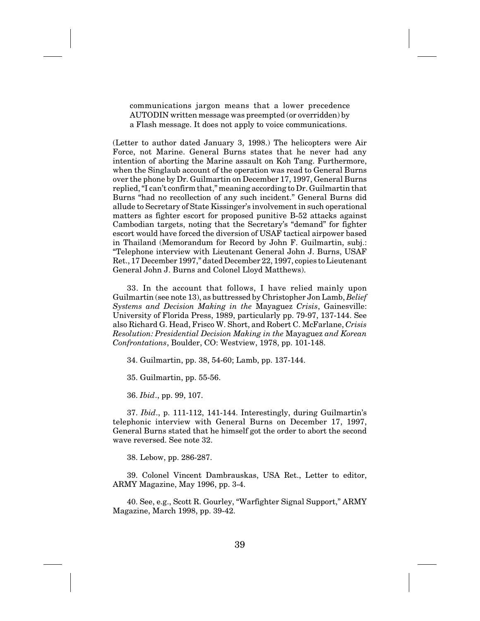communications jargon means that a lower precedence AUTODIN written message was preempted (or overridden) by a Flash message. It does not apply to voice communications.

(Letter to author dated January 3, 1998.) The helicopters were Air Force, not Marine. General Burns states that he never had any intention of aborting the Marine assault on Koh Tang. Furthermore, when the Singlaub account of the operation was read to General Burns over the phone by Dr. Guilmartin on December 17, 1997, General Burns replied, "I can't confirm that," meaning according to Dr. Guilmartin that Burns "had no recollection of any such incident." General Burns did allude to Secretary of State Kissinger's involvement in such operational matters as fighter escort for proposed punitive B-52 attacks against Cambodian targets, noting that the Secretary's "demand" for fighter escort would have forced the diversion of USAF tactical airpower based in Thailand (Memorandum for Record by John F. Guilmartin, subj.: "Telephone interview with Lieutenant General John J. Burns, USAF Ret., 17 December 1997," dated December 22, 1997, copies to Lieutenant General John J. Burns and Colonel Lloyd Matthews).

33. In the account that follows, I have relied mainly upon Guilmartin (see note 13), as buttressed by Christopher Jon Lamb, *Belief Systems and Decision Making in the* Mayaguez *Crisis*, Gainesville: University of Florida Press, 1989, particularly pp. 79-97, 137-144. See also Richard G. Head, Frisco W. Short, and Robert C. McFarlane, *Crisis Resolution: Presidential Decision Making in the* Mayaguez *and Korean Confrontations*, Boulder, CO: Westview, 1978, pp. 101-148.

34. Guilmartin, pp. 38, 54-60; Lamb, pp. 137-144.

35. Guilmartin, pp. 55-56.

36. *Ibid*., pp. 99, 107.

37. *Ibid*., p. 111-112, 141-144. Interestingly, during Guilmartin's telephonic interview with General Burns on December 17, 1997, General Burns stated that he himself got the order to abort the second wave reversed. See note 32.

38. Lebow, pp. 286-287.

39. Colonel Vincent Dambrauskas, USA Ret., Letter to editor, ARMY Magazine, May 1996, pp. 3-4.

40. See, e.g., Scott R. Gourley, "Warfighter Signal Support," ARMY Magazine, March 1998, pp. 39-42.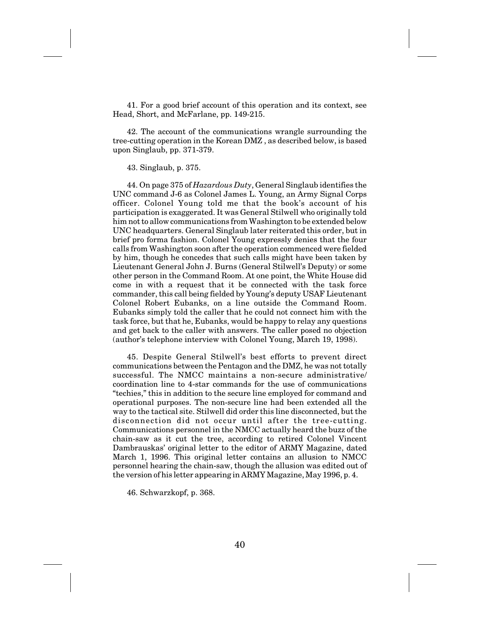41. For a good brief account of this operation and its context, see Head, Short, and McFarlane, pp. 149-215.

42. The account of the communications wrangle surrounding the tree-cutting operation in the Korean DMZ , as described below, is based upon Singlaub, pp. 371-379.

43. Singlaub, p. 375.

44. On page 375 of *Hazardous Duty*, General Singlaub identifies the UNC command J-6 as Colonel James L. Young, an Army Signal Corps officer. Colonel Young told me that the book's account of his participation is exaggerated. It was General Stilwell who originally told him not to allow communications from Washington to be extended below UNC headquarters. General Singlaub later reiterated this order, but in brief pro forma fashion. Colonel Young expressly denies that the four calls from Washington soon after the operation commenced were fielded by him, though he concedes that such calls might have been taken by Lieutenant General John J. Burns (General Stilwell's Deputy) or some other person in the Command Room. At one point, the White House did come in with a request that it be connected with the task force commander, this call being fielded by Young's deputy USAF Lieutenant Colonel Robert Eubanks, on a line outside the Command Room. Eubanks simply told the caller that he could not connect him with the task force, but that he, Eubanks, would be happy to relay any questions and get back to the caller with answers. The caller posed no objection (author's telephone interview with Colonel Young, March 19, 1998).

45. Despite General Stilwell's best efforts to prevent direct communications between the Pentagon and the DMZ, he was not totally successful. The NMCC maintains a non-secure administrative/ coordination line to 4-star commands for the use of communications "techies," this in addition to the secure line employed for command and operational purposes. The non-secure line had been extended all the way to the tactical site. Stilwell did order this line disconnected, but the disconnection did not occur until after the tree-cutting. Communications personnel in the NMCC actually heard the buzz of the chain-saw as it cut the tree, according to retired Colonel Vincent Dambrauskas' original letter to the editor of ARMY Magazine, dated March 1, 1996. This original letter contains an allusion to NMCC personnel hearing the chain-saw, though the allusion was edited out of the version of his letter appearing in ARMY Magazine, May 1996, p. 4.

46. Schwarzkopf, p. 368.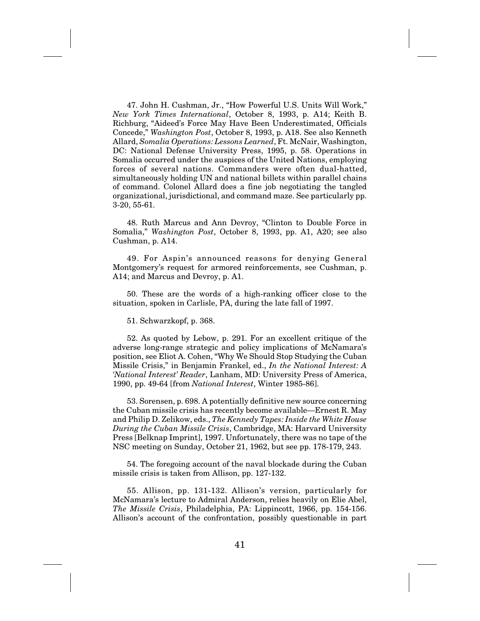47. John H. Cushman, Jr., "How Powerful U.S. Units Will Work," *New York Times International*, October 8, 1993, p. A14; Keith B. Richburg, "Aideed's Force May Have Been Underestimated, Officials Concede," *Washington Post*, October 8, 1993, p. A18. See also Kenneth Allard, *Somalia Operations: Lessons Learned*, Ft. McNair, Washington, DC: National Defense University Press, 1995, p. 58. Operations in Somalia occurred under the auspices of the United Nations, employing forces of several nations. Commanders were often dual-hatted, simultaneously holding UN and national billets within parallel chains of command. Colonel Allard does a fine job negotiating the tangled organizational, jurisdictional, and command maze. See particularly pp. 3-20, 55-61.

48. Ruth Marcus and Ann Devroy, "Clinton to Double Force in Somalia," *Washington Post*, October 8, 1993, pp. A1, A20; see also Cushman, p. A14.

49. For Aspin's announced reasons for denying General Montgomery's request for armored reinforcements, see Cushman, p. A14; and Marcus and Devroy, p. A1.

50. These are the words of a high-ranking officer close to the situation, spoken in Carlisle, PA, during the late fall of 1997.

51. Schwarzkopf, p. 368.

52. As quoted by Lebow, p. 291. For an excellent critique of the adverse long-range strategic and policy implications of McNamara's position, see Eliot A. Cohen, "Why We Should Stop Studying the Cuban Missile Crisis," in Benjamin Frankel, ed., *In the National Interest: A 'National Interest' Reader*, Lanham, MD: University Press of America, 1990, pp. 49-64 [from *National Interest*, Winter 1985-86].

53. Sorensen, p. 698. A potentially definitive new source concerning the Cuban missile crisis has recently become available—Ernest R. May and Philip D. Zelikow, eds., *The Kennedy Tapes: Inside the White House During the Cuban Missile Crisis*, Cambridge, MA: Harvard University Press [Belknap Imprint], 1997. Unfortunately, there was no tape of the NSC meeting on Sunday, October 21, 1962, but see pp. 178-179, 243.

54. The foregoing account of the naval blockade during the Cuban missile crisis is taken from Allison, pp. 127-132.

55. Allison, pp. 131-132. Allison's version, particularly for McNamara's lecture to Admiral Anderson, relies heavily on Elie Abel, *The Missile Crisis*, Philadelphia, PA: Lippincott, 1966, pp. 154-156. Allison's account of the confrontation, possibly questionable in part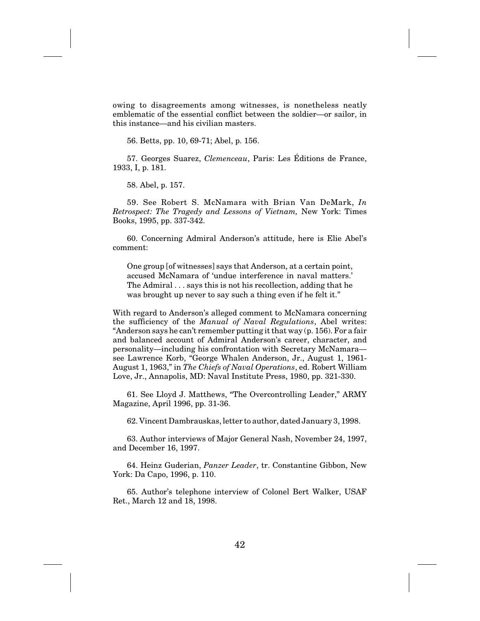owing to disagreements among witnesses, is nonetheless neatly emblematic of the essential conflict between the soldier—or sailor, in this instance—and his civilian masters.

56. Betts, pp. 10, 69-71; Abel, p. 156.

57. Georges Suarez, *Clemenceau*, Paris: Les Éditions de France, 1933, I, p. 181.

58. Abel, p. 157.

59. See Robert S. McNamara with Brian Van DeMark, *In Retrospect: The Tragedy and Lessons of Vietnam,* New York: Times Books, 1995, pp. 337-342.

60. Concerning Admiral Anderson's attitude, here is Elie Abel's comment:

One group [of witnesses] says that Anderson, at a certain point, accused McNamara of 'undue interference in naval matters.' The Admiral... says this is not his recollection, adding that he was brought up never to say such a thing even if he felt it."

With regard to Anderson's alleged comment to McNamara concerning the sufficiency of the *Manual of Naval Regulations*, Abel writes: "Anderson says he can't remember putting it that way (p. 156). For a fair and balanced account of Admiral Anderson's career, character, and personality—including his confrontation with Secretary McNamara see Lawrence Korb, "George Whalen Anderson, Jr., August 1, 1961- August 1, 1963," in *The Chiefs of Naval Operations*, ed. Robert William Love, Jr., Annapolis, MD: Naval Institute Press, 1980, pp. 321-330.

61. See Lloyd J. Matthews, "The Overcontrolling Leader," ARMY Magazine, April 1996, pp. 31-36.

62. Vincent Dambrauskas, letter to author, dated January 3, 1998.

63. Author interviews of Major General Nash, November 24, 1997, and December 16, 1997.

64. Heinz Guderian, *Panzer Leader*, tr. Constantine Gibbon, New York: Da Capo, 1996, p. 110.

65. Author's telephone interview of Colonel Bert Walker, USAF Ret., March 12 and 18, 1998.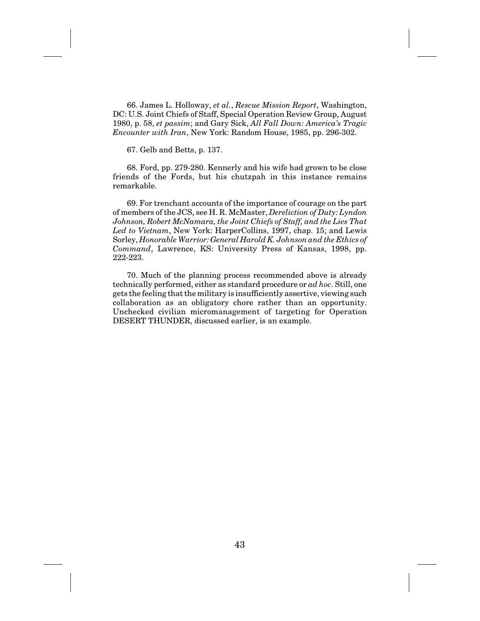66. James L. Holloway, *et al.*, *Rescue Mission Report*, Washington, DC: U.S. Joint Chiefs of Staff, Special Operation Review Group, August 1980, p. 58, *et passim*; and Gary Sick, *All Fall Down: America's Tragic Encounter with Iran*, New York: Random House, 1985, pp. 296-302.

67. Gelb and Betts, p. 137.

68. Ford, pp. 279-280. Kennerly and his wife had grown to be close friends of the Fords, but his chutzpah in this instance remains remarkable.

69. For trenchant accounts of the importance of courage on the part of members of the JCS, see H. R. McMaster, *Dereliction of Duty: Lyndon Johnson, Robert McNamara, the Joint Chiefs of Staff, and the Lies That Led to Vietnam*, New York: HarperCollins, 1997, chap. 15; and Lewis Sorley, *Honorable Warrior: General Harold K. Johnson and the Ethics of Command*, Lawrence, KS: University Press of Kansas, 1998, pp. 222-223.

70. Much of the planning process recommended above is already technically performed, either as standard procedure or *ad hoc*. Still, one gets the feeling that the military is insufficiently assertive, viewing such collaboration as an obligatory chore rather than an opportunity. Unchecked civilian micromanagement of targeting for Operation DESERT THUNDER, discussed earlier, is an example.